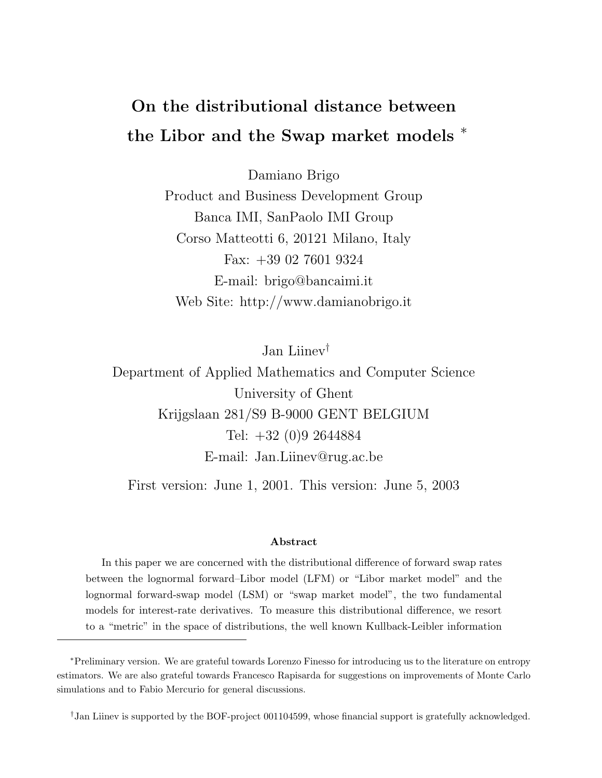# On the distributional distance between the Libor and the Swap market models <sup>∗</sup>

Damiano Brigo

Product and Business Development Group Banca IMI, SanPaolo IMI Group Corso Matteotti 6, 20121 Milano, Italy Fax: +39 02 7601 9324 E-mail: brigo@bancaimi.it Web Site: http://www.damianobrigo.it

Jan Liinev†

Department of Applied Mathematics and Computer Science University of Ghent Krijgslaan 281/S9 B-9000 GENT BELGIUM Tel: +32 (0)9 2644884 E-mail: Jan.Liinev@rug.ac.be

First version: June 1, 2001. This version: June 5, 2003

#### Abstract

In this paper we are concerned with the distributional difference of forward swap rates between the lognormal forward–Libor model (LFM) or "Libor market model" and the lognormal forward-swap model (LSM) or "swap market model", the two fundamental models for interest-rate derivatives. To measure this distributional difference, we resort to a "metric" in the space of distributions, the well known Kullback-Leibler information

<sup>∗</sup>Preliminary version. We are grateful towards Lorenzo Finesso for introducing us to the literature on entropy estimators. We are also grateful towards Francesco Rapisarda for suggestions on improvements of Monte Carlo simulations and to Fabio Mercurio for general discussions.

<sup>†</sup>Jan Liinev is supported by the BOF-project 001104599, whose financial support is gratefully acknowledged.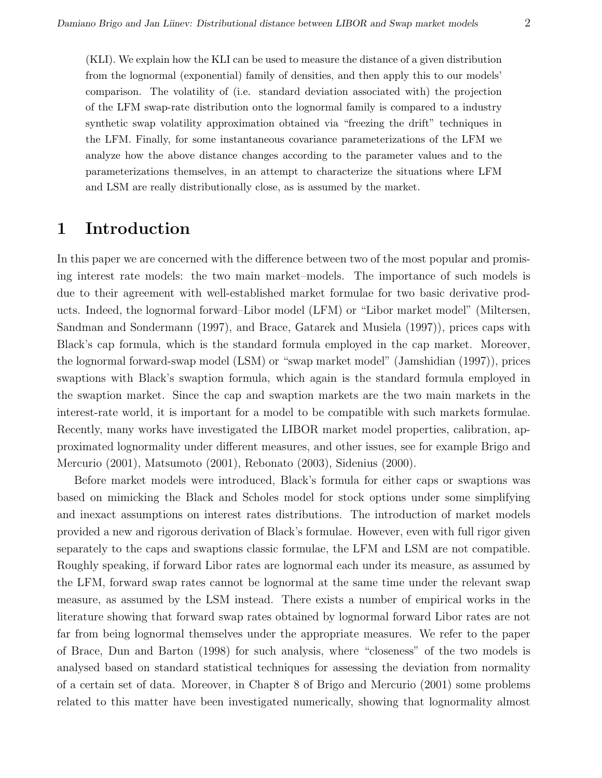(KLI). We explain how the KLI can be used to measure the distance of a given distribution from the lognormal (exponential) family of densities, and then apply this to our models' comparison. The volatility of (i.e. standard deviation associated with) the projection of the LFM swap-rate distribution onto the lognormal family is compared to a industry synthetic swap volatility approximation obtained via "freezing the drift" techniques in the LFM. Finally, for some instantaneous covariance parameterizations of the LFM we analyze how the above distance changes according to the parameter values and to the parameterizations themselves, in an attempt to characterize the situations where LFM and LSM are really distributionally close, as is assumed by the market.

### 1 Introduction

In this paper we are concerned with the difference between two of the most popular and promising interest rate models: the two main market–models. The importance of such models is due to their agreement with well-established market formulae for two basic derivative products. Indeed, the lognormal forward–Libor model (LFM) or "Libor market model" (Miltersen, Sandman and Sondermann (1997), and Brace, Gatarek and Musiela (1997)), prices caps with Black's cap formula, which is the standard formula employed in the cap market. Moreover, the lognormal forward-swap model (LSM) or "swap market model" (Jamshidian (1997)), prices swaptions with Black's swaption formula, which again is the standard formula employed in the swaption market. Since the cap and swaption markets are the two main markets in the interest-rate world, it is important for a model to be compatible with such markets formulae. Recently, many works have investigated the LIBOR market model properties, calibration, approximated lognormality under different measures, and other issues, see for example Brigo and Mercurio (2001), Matsumoto (2001), Rebonato (2003), Sidenius (2000).

Before market models were introduced, Black's formula for either caps or swaptions was based on mimicking the Black and Scholes model for stock options under some simplifying and inexact assumptions on interest rates distributions. The introduction of market models provided a new and rigorous derivation of Black's formulae. However, even with full rigor given separately to the caps and swaptions classic formulae, the LFM and LSM are not compatible. Roughly speaking, if forward Libor rates are lognormal each under its measure, as assumed by the LFM, forward swap rates cannot be lognormal at the same time under the relevant swap measure, as assumed by the LSM instead. There exists a number of empirical works in the literature showing that forward swap rates obtained by lognormal forward Libor rates are not far from being lognormal themselves under the appropriate measures. We refer to the paper of Brace, Dun and Barton (1998) for such analysis, where "closeness" of the two models is analysed based on standard statistical techniques for assessing the deviation from normality of a certain set of data. Moreover, in Chapter 8 of Brigo and Mercurio (2001) some problems related to this matter have been investigated numerically, showing that lognormality almost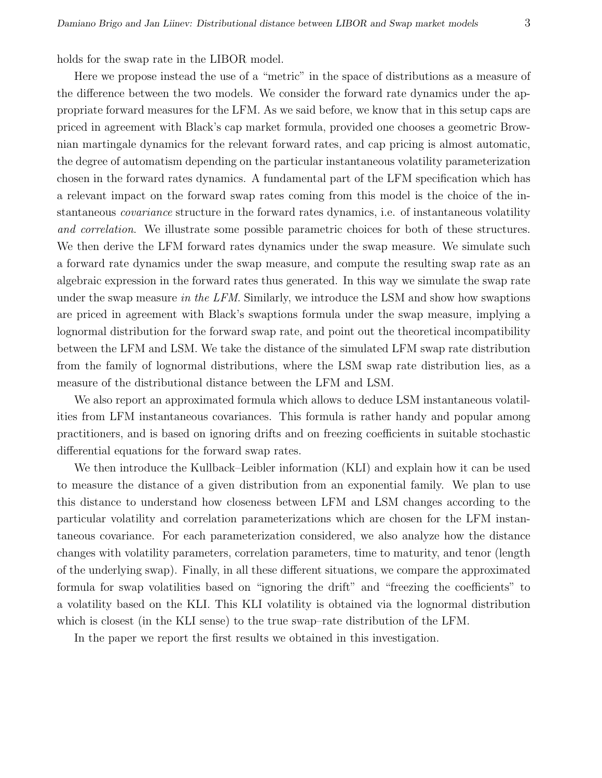holds for the swap rate in the LIBOR model.

Here we propose instead the use of a "metric" in the space of distributions as a measure of the difference between the two models. We consider the forward rate dynamics under the appropriate forward measures for the LFM. As we said before, we know that in this setup caps are priced in agreement with Black's cap market formula, provided one chooses a geometric Brownian martingale dynamics for the relevant forward rates, and cap pricing is almost automatic, the degree of automatism depending on the particular instantaneous volatility parameterization chosen in the forward rates dynamics. A fundamental part of the LFM specification which has a relevant impact on the forward swap rates coming from this model is the choice of the instantaneous covariance structure in the forward rates dynamics, i.e. of instantaneous volatility and correlation. We illustrate some possible parametric choices for both of these structures. We then derive the LFM forward rates dynamics under the swap measure. We simulate such a forward rate dynamics under the swap measure, and compute the resulting swap rate as an algebraic expression in the forward rates thus generated. In this way we simulate the swap rate under the swap measure in the LFM. Similarly, we introduce the LSM and show how swaptions are priced in agreement with Black's swaptions formula under the swap measure, implying a lognormal distribution for the forward swap rate, and point out the theoretical incompatibility between the LFM and LSM. We take the distance of the simulated LFM swap rate distribution from the family of lognormal distributions, where the LSM swap rate distribution lies, as a measure of the distributional distance between the LFM and LSM.

We also report an approximated formula which allows to deduce LSM instantaneous volatilities from LFM instantaneous covariances. This formula is rather handy and popular among practitioners, and is based on ignoring drifts and on freezing coefficients in suitable stochastic differential equations for the forward swap rates.

We then introduce the Kullback–Leibler information (KLI) and explain how it can be used to measure the distance of a given distribution from an exponential family. We plan to use this distance to understand how closeness between LFM and LSM changes according to the particular volatility and correlation parameterizations which are chosen for the LFM instantaneous covariance. For each parameterization considered, we also analyze how the distance changes with volatility parameters, correlation parameters, time to maturity, and tenor (length of the underlying swap). Finally, in all these different situations, we compare the approximated formula for swap volatilities based on "ignoring the drift" and "freezing the coefficients" to a volatility based on the KLI. This KLI volatility is obtained via the lognormal distribution which is closest (in the KLI sense) to the true swap–rate distribution of the LFM.

In the paper we report the first results we obtained in this investigation.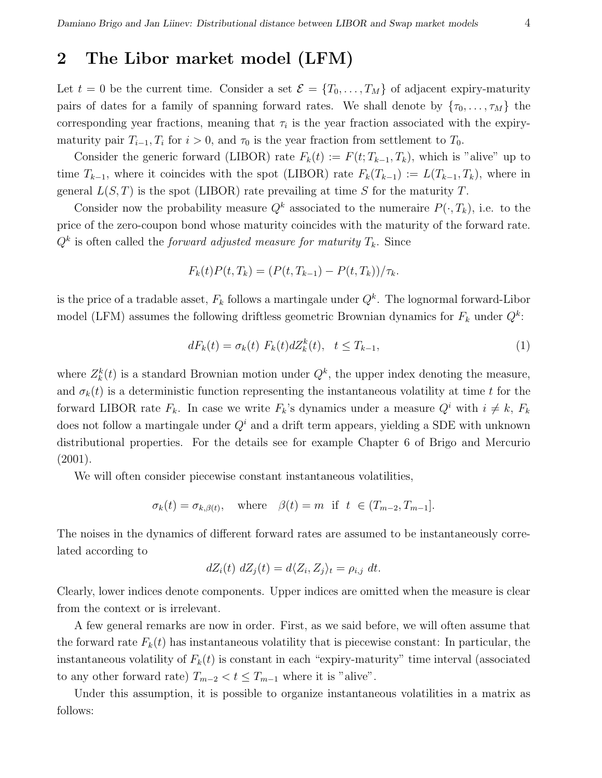### 2 The Libor market model (LFM)

Let  $t = 0$  be the current time. Consider a set  $\mathcal{E} = \{T_0, \ldots, T_M\}$  of adjacent expiry-maturity pairs of dates for a family of spanning forward rates. We shall denote by  $\{\tau_0, \ldots, \tau_M\}$  the corresponding year fractions, meaning that  $\tau_i$  is the year fraction associated with the expirymaturity pair  $T_{i-1}, T_i$  for  $i > 0$ , and  $\tau_0$  is the year fraction from settlement to  $T_0$ .

Consider the generic forward (LIBOR) rate  $F_k(t) := F(t; T_{k-1}, T_k)$ , which is "alive" up to time  $T_{k-1}$ , where it coincides with the spot (LIBOR) rate  $F_k(T_{k-1}) := L(T_{k-1}, T_k)$ , where in general  $L(S,T)$  is the spot (LIBOR) rate prevailing at time S for the maturity T.

Consider now the probability measure  $Q^k$  associated to the numeraire  $P(\cdot, T_k)$ , i.e. to the price of the zero-coupon bond whose maturity coincides with the maturity of the forward rate.  $Q^k$  is often called the *forward adjusted measure for maturity*  $T_k$ . Since

$$
F_k(t)P(t, T_k) = (P(t, T_{k-1}) - P(t, T_k))/\tau_k.
$$

is the price of a tradable asset,  $F_k$  follows a martingale under  $Q^k$ . The lognormal forward-Libor model (LFM) assumes the following driftless geometric Brownian dynamics for  $F_k$  under  $Q^k$ :

$$
dF_k(t) = \sigma_k(t) F_k(t) dZ_k^k(t), \quad t \le T_{k-1},\tag{1}
$$

where  $Z_k^k(t)$  is a standard Brownian motion under  $Q^k$ , the upper index denoting the measure, and  $\sigma_k(t)$  is a deterministic function representing the instantaneous volatility at time t for the forward LIBOR rate  $F_k$ . In case we write  $F_k$ 's dynamics under a measure  $Q^i$  with  $i \neq k$ ,  $F_k$ does not follow a martingale under  $Q^i$  and a drift term appears, yielding a SDE with unknown distributional properties. For the details see for example Chapter 6 of Brigo and Mercurio (2001).

We will often consider piecewise constant instantaneous volatilities,

$$
\sigma_k(t) = \sigma_{k,\beta(t)},
$$
 where  $\beta(t) = m$  if  $t \in (T_{m-2}, T_{m-1}]$ .

The noises in the dynamics of different forward rates are assumed to be instantaneously correlated according to

$$
dZ_i(t) dZ_j(t) = d\langle Z_i, Z_j \rangle_t = \rho_{i,j} dt.
$$

Clearly, lower indices denote components. Upper indices are omitted when the measure is clear from the context or is irrelevant.

A few general remarks are now in order. First, as we said before, we will often assume that the forward rate  $F_k(t)$  has instantaneous volatility that is piecewise constant: In particular, the instantaneous volatility of  $F_k(t)$  is constant in each "expiry-maturity" time interval (associated to any other forward rate)  $T_{m-2} < t \leq T_{m-1}$  where it is "alive".

Under this assumption, it is possible to organize instantaneous volatilities in a matrix as follows: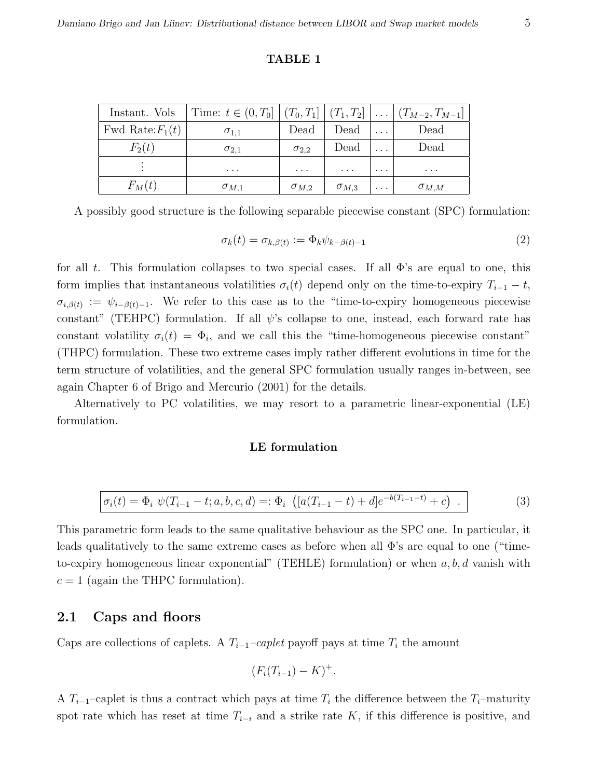#### TABLE 1

| Instant. Vols      | Time: $t \in (0, T_0] \mid (T_0, T_1] \mid (T_1, T_2] \mid \ldots \mid (T_{M-2}, T_{M-1}] \mid$ |                |                |                      |                |
|--------------------|-------------------------------------------------------------------------------------------------|----------------|----------------|----------------------|----------------|
| Fwd Rate: $F_1(t)$ | $\sigma_{1,1}$                                                                                  | Dead           | Dead           |                      | Dead           |
| $F_2(t)$           | $\sigma_{2,1}$                                                                                  | $\sigma_{2,2}$ | Dead           | $\cdots$             | Dead           |
| ٠                  | $\cdots$                                                                                        | $\cdots$       | $\cdots$       | $\cdots$             | $\cdots$       |
| $F_M(t)$           | $\sigma_{M,1}$                                                                                  | $\sigma_{M,2}$ | $\sigma_{M,3}$ | $\sim$ $\sim$ $\sim$ | $\sigma_{M.M}$ |

A possibly good structure is the following separable piecewise constant (SPC) formulation:

$$
\sigma_k(t) = \sigma_{k,\beta(t)} := \Phi_k \psi_{k-\beta(t)-1} \tag{2}
$$

for all t. This formulation collapses to two special cases. If all  $\Phi$ 's are equal to one, this form implies that instantaneous volatilities  $\sigma_i(t)$  depend only on the time-to-expiry  $T_{i-1} - t$ ,  $\sigma_{i,\beta(t)} := \psi_{i-\beta(t)-1}$ . We refer to this case as to the "time-to-expiry homogeneous piecewise constant" (TEHPC) formulation. If all  $\psi$ 's collapse to one, instead, each forward rate has constant volatility  $\sigma_i(t) = \Phi_i$ , and we call this the "time-homogeneous piecewise constant" (THPC) formulation. These two extreme cases imply rather different evolutions in time for the term structure of volatilities, and the general SPC formulation usually ranges in-between, see again Chapter 6 of Brigo and Mercurio (2001) for the details.

Alternatively to PC volatilities, we may resort to a parametric linear-exponential (LE) formulation.

#### LE formulation

$$
\sigma_i(t) = \Phi_i \ \psi(T_{i-1} - t; a, b, c, d) =: \Phi_i \ \left( [a(T_{i-1} - t) + d] e^{-b(T_{i-1} - t)} + c \right) \ . \tag{3}
$$

This parametric form leads to the same qualitative behaviour as the SPC one. In particular, it leads qualitatively to the same extreme cases as before when all  $\Phi$ 's are equal to one ("timeto-expiry homogeneous linear exponential" (TEHLE) formulation) or when  $a, b, d$  vanish with  $c = 1$  (again the THPC formulation).

#### 2.1 Caps and floors

Caps are collections of caplets. A  $T_{i-1}$ –caplet payoff pays at time  $T_i$  the amount

$$
(F_i(T_{i-1})-K)^+.
$$

A  $T_{i-1}$ –caplet is thus a contract which pays at time  $T_i$  the difference between the  $T_i$ –maturity spot rate which has reset at time  $T_{i-i}$  and a strike rate K, if this difference is positive, and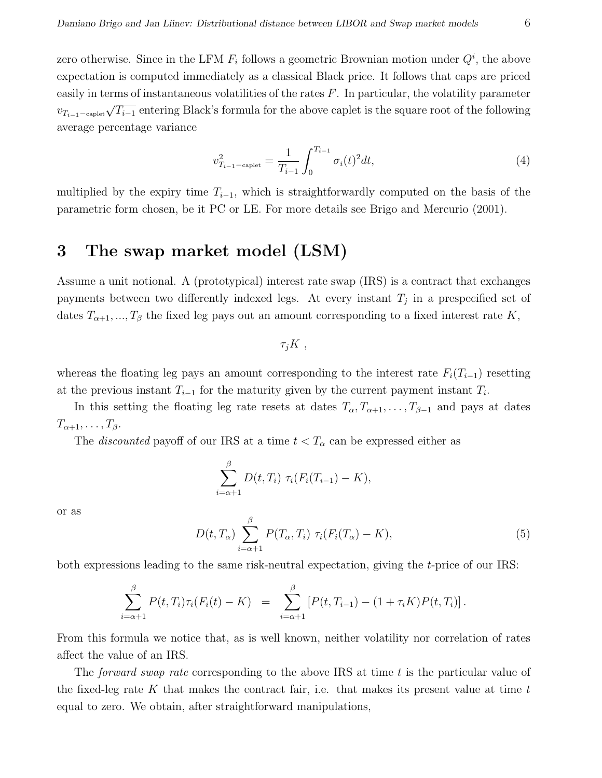zero otherwise. Since in the LFM  $F_i$  follows a geometric Brownian motion under  $Q^i$ , the above expectation is computed immediately as a classical Black price. It follows that caps are priced easily in terms of instantaneous volatilities of the rates  $F$ . In particular, the volatility parameter  $v_{T_{i-1}-\text{caplet}}\sqrt{T_{i-1}}$  entering Black's formula for the above caplet is the square root of the following average percentage variance

$$
v_{T_{i-1}-\text{caplet}}^2 = \frac{1}{T_{i-1}} \int_0^{T_{i-1}} \sigma_i(t)^2 dt,\tag{4}
$$

multiplied by the expiry time  $T_{i-1}$ , which is straightforwardly computed on the basis of the parametric form chosen, be it PC or LE. For more details see Brigo and Mercurio (2001).

### 3 The swap market model (LSM)

Assume a unit notional. A (prototypical) interest rate swap (IRS) is a contract that exchanges payments between two differently indexed legs. At every instant  $T_j$  in a prespecified set of dates  $T_{\alpha+1},...,T_{\beta}$  the fixed leg pays out an amount corresponding to a fixed interest rate K,

$$
\tau_j K \ ,
$$

whereas the floating leg pays an amount corresponding to the interest rate  $F_i(T_{i-1})$  resetting at the previous instant  $T_{i-1}$  for the maturity given by the current payment instant  $T_i$ .

In this setting the floating leg rate resets at dates  $T_{\alpha}, T_{\alpha+1}, \ldots, T_{\beta-1}$  and pays at dates  $T_{\alpha+1}, \ldots, T_{\beta}$ .

The *discounted* payoff of our IRS at a time  $t < T_\alpha$  can be expressed either as

$$
\sum_{i=\alpha+1}^{\beta} D(t,T_i) \ \tau_i(F_i(T_{i-1}) - K),
$$

or as

$$
D(t,T_{\alpha})\sum_{i=\alpha+1}^{\beta} P(T_{\alpha},T_i) \tau_i(F_i(T_{\alpha})-K),\tag{5}
$$

both expressions leading to the same risk-neutral expectation, giving the t-price of our IRS:

$$
\sum_{i=\alpha+1}^{\beta} P(t,T_i)\tau_i(F_i(t)-K) = \sum_{i=\alpha+1}^{\beta} [P(t,T_{i-1})-(1+\tau_i K)P(t,T_i)].
$$

From this formula we notice that, as is well known, neither volatility nor correlation of rates affect the value of an IRS.

The *forward swap rate* corresponding to the above IRS at time t is the particular value of the fixed-leg rate K that makes the contract fair, i.e. that makes its present value at time  $t$ equal to zero. We obtain, after straightforward manipulations,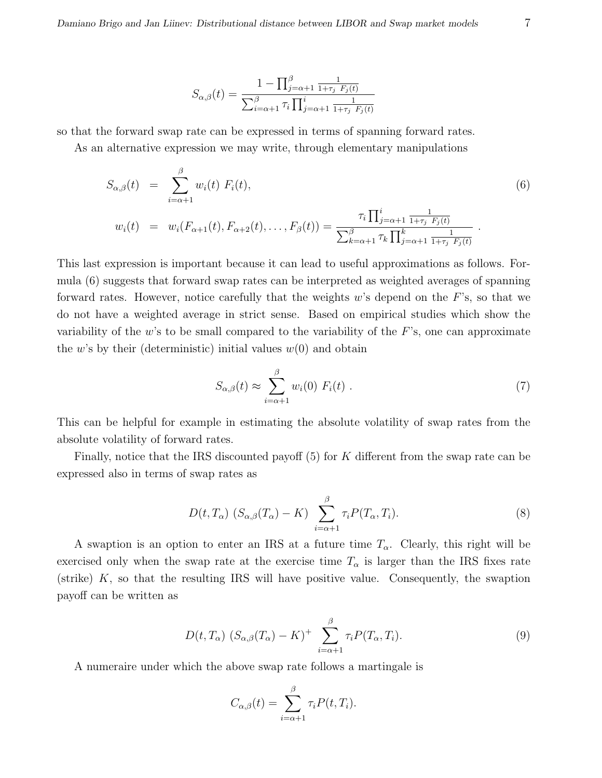$$
S_{\alpha,\beta}(t) = \frac{1 - \prod_{j=\alpha+1}^{\beta} \frac{1}{1 + \tau_j F_j(t)}}{\sum_{i=\alpha+1}^{\beta} \tau_i \prod_{j=\alpha+1}^{i} \frac{1}{1 + \tau_j F_j(t)}}
$$

so that the forward swap rate can be expressed in terms of spanning forward rates.

As an alternative expression we may write, through elementary manipulations

$$
S_{\alpha,\beta}(t) = \sum_{i=\alpha+1}^{\beta} w_i(t) F_i(t),
$$
\n
$$
w_i(t) = w_i(F_{\alpha+1}(t), F_{\alpha+2}(t), \dots, F_{\beta}(t)) = \frac{\tau_i \prod_{j=\alpha+1}^i \frac{1}{1+\tau_j F_j(t)}}{\sum_{k=\alpha+1}^{\beta} \tau_k \prod_{j=\alpha+1}^k \frac{1}{1+\tau_j F_j(t)}}.
$$
\n(6)

This last expression is important because it can lead to useful approximations as follows. Formula (6) suggests that forward swap rates can be interpreted as weighted averages of spanning forward rates. However, notice carefully that the weights w's depend on the F's, so that we do not have a weighted average in strict sense. Based on empirical studies which show the variability of the  $w$ 's to be small compared to the variability of the  $F$ 's, one can approximate the w's by their (deterministic) initial values  $w(0)$  and obtain

$$
S_{\alpha,\beta}(t) \approx \sum_{i=\alpha+1}^{\beta} w_i(0) F_i(t) . \tag{7}
$$

This can be helpful for example in estimating the absolute volatility of swap rates from the absolute volatility of forward rates.

Finally, notice that the IRS discounted payoff (5) for K different from the swap rate can be expressed also in terms of swap rates as

$$
D(t, T_{\alpha}) \left( S_{\alpha,\beta}(T_{\alpha}) - K \right) \sum_{i=\alpha+1}^{\beta} \tau_i P(T_{\alpha}, T_i). \tag{8}
$$

A swaption is an option to enter an IRS at a future time  $T_{\alpha}$ . Clearly, this right will be exercised only when the swap rate at the exercise time  $T_{\alpha}$  is larger than the IRS fixes rate (strike) K, so that the resulting IRS will have positive value. Consequently, the swaption payoff can be written as

$$
D(t,T_{\alpha})\ (S_{\alpha,\beta}(T_{\alpha})-K)^{+}\sum_{i=\alpha+1}^{\beta} \tau_i P(T_{\alpha},T_i). \tag{9}
$$

A numeraire under which the above swap rate follows a martingale is

$$
C_{\alpha,\beta}(t) = \sum_{i=\alpha+1}^{\beta} \tau_i P(t,T_i).
$$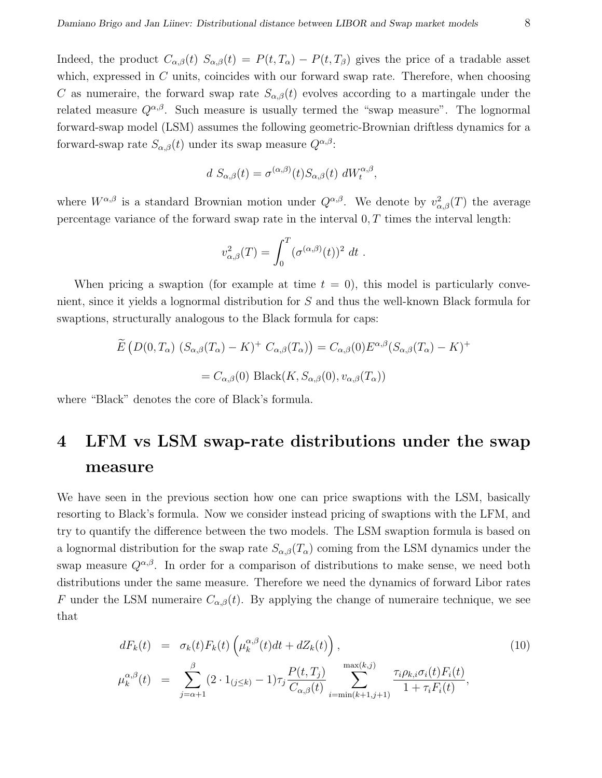Indeed, the product  $C_{\alpha,\beta}(t)$   $S_{\alpha,\beta}(t) = P(t,T_\alpha) - P(t,T_\beta)$  gives the price of a tradable asset which, expressed in C units, coincides with our forward swap rate. Therefore, when choosing C as numeraire, the forward swap rate  $S_{\alpha,\beta}(t)$  evolves according to a martingale under the related measure  $Q^{\alpha,\beta}$ . Such measure is usually termed the "swap measure". The lognormal forward-swap model (LSM) assumes the following geometric-Brownian driftless dynamics for a forward-swap rate  $S_{\alpha,\beta}(t)$  under its swap measure  $Q^{\alpha,\beta}$ :

$$
d S_{\alpha,\beta}(t) = \sigma^{(\alpha,\beta)}(t) S_{\alpha,\beta}(t) dW_t^{\alpha,\beta},
$$

where  $W^{\alpha,\beta}$  is a standard Brownian motion under  $Q^{\alpha,\beta}$ . We denote by  $v_{\alpha,\beta}^2(T)$  the average percentage variance of the forward swap rate in the interval  $0, T$  times the interval length:

$$
v_{\alpha,\beta}^2(T) = \int_0^T (\sigma^{(\alpha,\beta)}(t))^2 dt.
$$

When pricing a swaption (for example at time  $t = 0$ ), this model is particularly convenient, since it yields a lognormal distribution for S and thus the well-known Black formula for swaptions, structurally analogous to the Black formula for caps:

$$
\widetilde{E}\left(D(0,T_{\alpha})\left(S_{\alpha,\beta}(T_{\alpha})-K\right)^{+}C_{\alpha,\beta}(T_{\alpha})\right)=C_{\alpha,\beta}(0)E^{\alpha,\beta}(S_{\alpha,\beta}(T_{\alpha})-K)^{+}
$$
\n
$$
=C_{\alpha,\beta}(0)\text{ Black}(K,S_{\alpha,\beta}(0),v_{\alpha,\beta}(T_{\alpha}))
$$

where "Black" denotes the core of Black's formula.

## 4 LFM vs LSM swap-rate distributions under the swap measure

We have seen in the previous section how one can price swaptions with the LSM, basically resorting to Black's formula. Now we consider instead pricing of swaptions with the LFM, and try to quantify the difference between the two models. The LSM swaption formula is based on a lognormal distribution for the swap rate  $S_{\alpha,\beta}(T_{\alpha})$  coming from the LSM dynamics under the swap measure  $Q^{\alpha,\beta}$ . In order for a comparison of distributions to make sense, we need both distributions under the same measure. Therefore we need the dynamics of forward Libor rates F under the LSM numeraire  $C_{\alpha,\beta}(t)$ . By applying the change of numeraire technique, we see that

$$
dF_k(t) = \sigma_k(t) F_k(t) \left( \mu_k^{\alpha, \beta}(t) dt + dZ_k(t) \right),
$$
  
\n
$$
\mu_k^{\alpha, \beta}(t) = \sum_{j=\alpha+1}^{\beta} (2 \cdot 1_{(j \le k)} - 1) \tau_j \frac{P(t, T_j)}{C_{\alpha, \beta}(t)} \sum_{i=\min(k+1, j+1)}^{\max(k, j)} \frac{\tau_i \rho_{k,i} \sigma_i(t) F_i(t)}{1 + \tau_i F_i(t)},
$$
\n(10)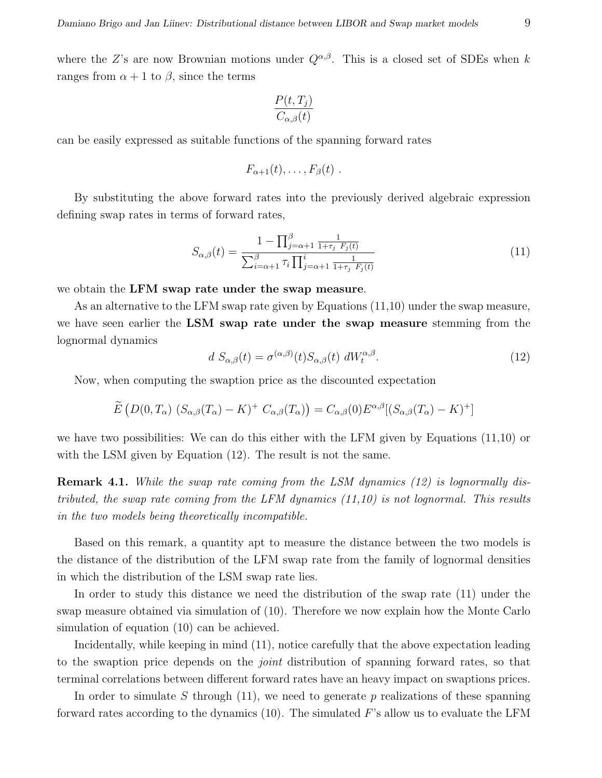where the Z's are now Brownian motions under  $Q^{\alpha,\beta}$ . This is a closed set of SDEs when k ranges from  $\alpha + 1$  to  $\beta$ , since the terms

$$
\frac{P(t,T_j)}{C_{\alpha,\beta}(t)}
$$

can be easily expressed as suitable functions of the spanning forward rates

$$
F_{\alpha+1}(t),\ldots,F_{\beta}(t) .
$$

By substituting the above forward rates into the previously derived algebraic expression defining swap rates in terms of forward rates,

$$
S_{\alpha,\beta}(t) = \frac{1 - \prod_{j=\alpha+1}^{\beta} \frac{1}{1 + \tau_j F_j(t)}}{\sum_{i=\alpha+1}^{\beta} \tau_i \prod_{j=\alpha+1}^{i} \frac{1}{1 + \tau_j F_j(t)}}
$$
(11)

we obtain the LFM swap rate under the swap measure.

As an alternative to the LFM swap rate given by Equations (11,10) under the swap measure, we have seen earlier the LSM swap rate under the swap measure stemming from the lognormal dynamics

$$
d S_{\alpha,\beta}(t) = \sigma^{(\alpha,\beta)}(t) S_{\alpha,\beta}(t) dW_t^{\alpha,\beta}.
$$
\n(12)

Now, when computing the swaption price as the discounted expectation

$$
\widetilde{E}\left(D(0,T_{\alpha})\left(S_{\alpha,\beta}(T_{\alpha})-K\right)^{+}C_{\alpha,\beta}(T_{\alpha})\right)=C_{\alpha,\beta}(0)E^{\alpha,\beta}[(S_{\alpha,\beta}(T_{\alpha})-K)^{+}]
$$

we have two possibilities: We can do this either with the LFM given by Equations (11,10) or with the LSM given by Equation  $(12)$ . The result is not the same.

Remark 4.1. While the swap rate coming from the LSM dynamics (12) is lognormally distributed, the swap rate coming from the LFM dynamics  $(11,10)$  is not lognormal. This results in the two models being theoretically incompatible.

Based on this remark, a quantity apt to measure the distance between the two models is the distance of the distribution of the LFM swap rate from the family of lognormal densities in which the distribution of the LSM swap rate lies.

In order to study this distance we need the distribution of the swap rate (11) under the swap measure obtained via simulation of (10). Therefore we now explain how the Monte Carlo simulation of equation (10) can be achieved.

Incidentally, while keeping in mind (11), notice carefully that the above expectation leading to the swaption price depends on the joint distribution of spanning forward rates, so that terminal correlations between different forward rates have an heavy impact on swaptions prices.

In order to simulate S through  $(11)$ , we need to generate p realizations of these spanning forward rates according to the dynamics  $(10)$ . The simulated F's allow us to evaluate the LFM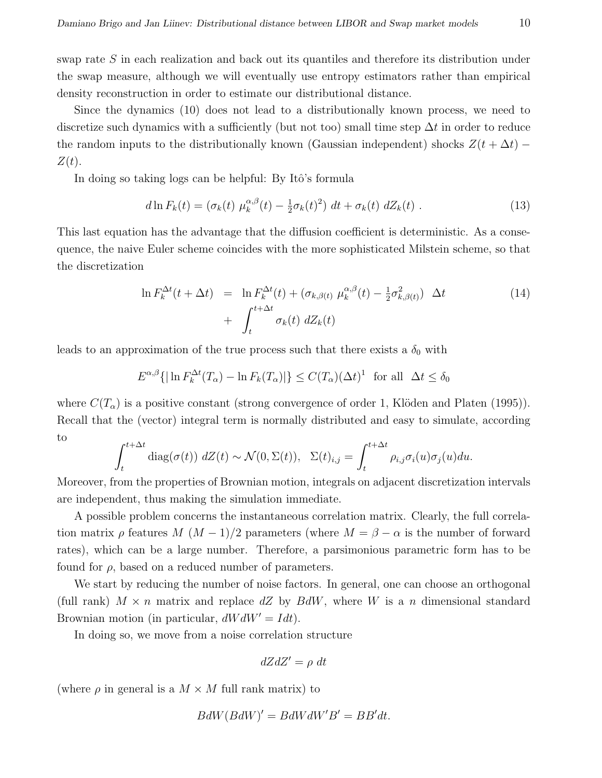swap rate S in each realization and back out its quantiles and therefore its distribution under the swap measure, although we will eventually use entropy estimators rather than empirical density reconstruction in order to estimate our distributional distance.

Since the dynamics (10) does not lead to a distributionally known process, we need to discretize such dynamics with a sufficiently (but not too) small time step  $\Delta t$  in order to reduce the random inputs to the distributionally known (Gaussian independent) shocks  $Z(t + \Delta t)$  −  $Z(t)$ .

In doing so taking logs can be helpful: By Itô's formula

$$
d\ln F_k(t) = (\sigma_k(t) \mu_k^{\alpha,\beta}(t) - \frac{1}{2}\sigma_k(t)^2) dt + \sigma_k(t) dZ_k(t).
$$
 (13)

This last equation has the advantage that the diffusion coefficient is deterministic. As a consequence, the naive Euler scheme coincides with the more sophisticated Milstein scheme, so that the discretization

$$
\ln F_k^{\Delta t}(t + \Delta t) = \ln F_k^{\Delta t}(t) + (\sigma_{k,\beta(t)} \mu_k^{\alpha,\beta}(t) - \frac{1}{2}\sigma_{k,\beta(t)}^2) \Delta t + \int_t^{t + \Delta t} \sigma_k(t) dZ_k(t)
$$
\n(14)

leads to an approximation of the true process such that there exists a  $\delta_0$  with

$$
E^{\alpha,\beta}\{|\ln F_k^{\Delta t}(T_\alpha) - \ln F_k(T_\alpha)|\} \le C(T_\alpha)(\Delta t)^1 \text{ for all } \Delta t \le \delta_0
$$

where  $C(T_\alpha)$  is a positive constant (strong convergence of order 1, Klöden and Platen (1995)). Recall that the (vector) integral term is normally distributed and easy to simulate, according to

$$
\int_{t}^{t+\Delta t} \text{diag}(\sigma(t)) \ dZ(t) \sim \mathcal{N}(0, \Sigma(t)), \ \ \Sigma(t)_{i,j} = \int_{t}^{t+\Delta t} \rho_{i,j} \sigma_i(u) \sigma_j(u) du.
$$

Moreover, from the properties of Brownian motion, integrals on adjacent discretization intervals are independent, thus making the simulation immediate.

A possible problem concerns the instantaneous correlation matrix. Clearly, the full correlation matrix  $\rho$  features M  $(M-1)/2$  parameters (where  $M = \beta - \alpha$  is the number of forward rates), which can be a large number. Therefore, a parsimonious parametric form has to be found for  $\rho$ , based on a reduced number of parameters.

We start by reducing the number of noise factors. In general, one can choose an orthogonal (full rank)  $M \times n$  matrix and replace dZ by  $BdW$ , where W is a n dimensional standard Brownian motion (in particular,  $dW dW' = I dt$ ).

In doing so, we move from a noise correlation structure

$$
dZdZ' = \rho \, dt
$$

(where  $\rho$  in general is a  $M \times M$  full rank matrix) to

$$
BdW(BdW)' = BdWdW'B' = BB'dt.
$$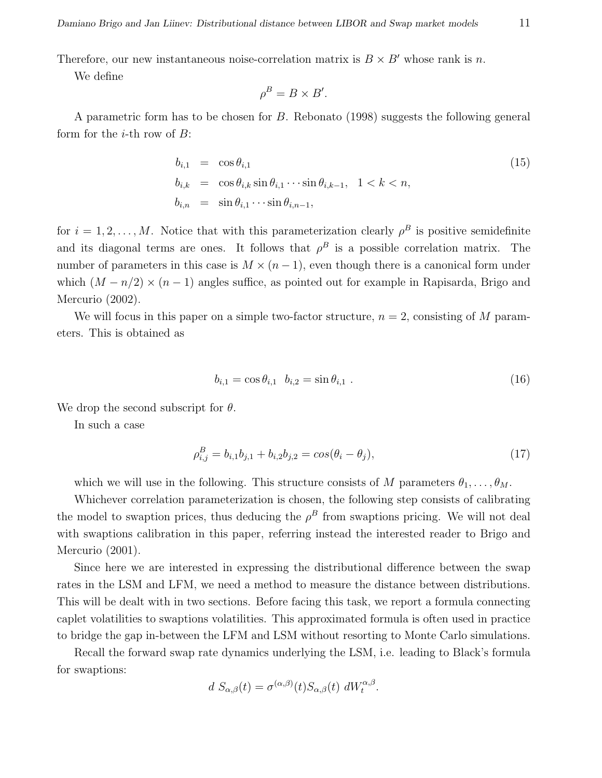Therefore, our new instantaneous noise-correlation matrix is  $B \times B'$  whose rank is n.

We define

$$
\rho^B = B \times B'.
$$

A parametric form has to be chosen for B. Rebonato (1998) suggests the following general form for the *i*-th row of  $B$ :

$$
b_{i,1} = \cos \theta_{i,1}
$$
  
\n
$$
b_{i,k} = \cos \theta_{i,k} \sin \theta_{i,1} \cdots \sin \theta_{i,k-1}, \quad 1 < k < n,
$$
  
\n
$$
b_{i,n} = \sin \theta_{i,1} \cdots \sin \theta_{i,n-1},
$$
\n(15)

for  $i = 1, 2, ..., M$ . Notice that with this parameterization clearly  $\rho^B$  is positive semidefinite and its diagonal terms are ones. It follows that  $\rho^B$  is a possible correlation matrix. The number of parameters in this case is  $M \times (n-1)$ , even though there is a canonical form under which  $(M - n/2) \times (n - 1)$  angles suffice, as pointed out for example in Rapisarda, Brigo and Mercurio (2002).

We will focus in this paper on a simple two-factor structure,  $n = 2$ , consisting of M parameters. This is obtained as

$$
b_{i,1} = \cos \theta_{i,1} \quad b_{i,2} = \sin \theta_{i,1} \tag{16}
$$

We drop the second subscript for  $\theta$ .

In such a case

$$
\rho_{i,j}^B = b_{i,1}b_{j,1} + b_{i,2}b_{j,2} = \cos(\theta_i - \theta_j),\tag{17}
$$

which we will use in the following. This structure consists of M parameters  $\theta_1, \ldots, \theta_M$ .

Whichever correlation parameterization is chosen, the following step consists of calibrating the model to swaption prices, thus deducing the  $\rho^B$  from swaptions pricing. We will not deal with swaptions calibration in this paper, referring instead the interested reader to Brigo and Mercurio (2001).

Since here we are interested in expressing the distributional difference between the swap rates in the LSM and LFM, we need a method to measure the distance between distributions. This will be dealt with in two sections. Before facing this task, we report a formula connecting caplet volatilities to swaptions volatilities. This approximated formula is often used in practice to bridge the gap in-between the LFM and LSM without resorting to Monte Carlo simulations.

Recall the forward swap rate dynamics underlying the LSM, i.e. leading to Black's formula for swaptions:

$$
d S_{\alpha,\beta}(t) = \sigma^{(\alpha,\beta)}(t) S_{\alpha,\beta}(t) dW_t^{\alpha,\beta}.
$$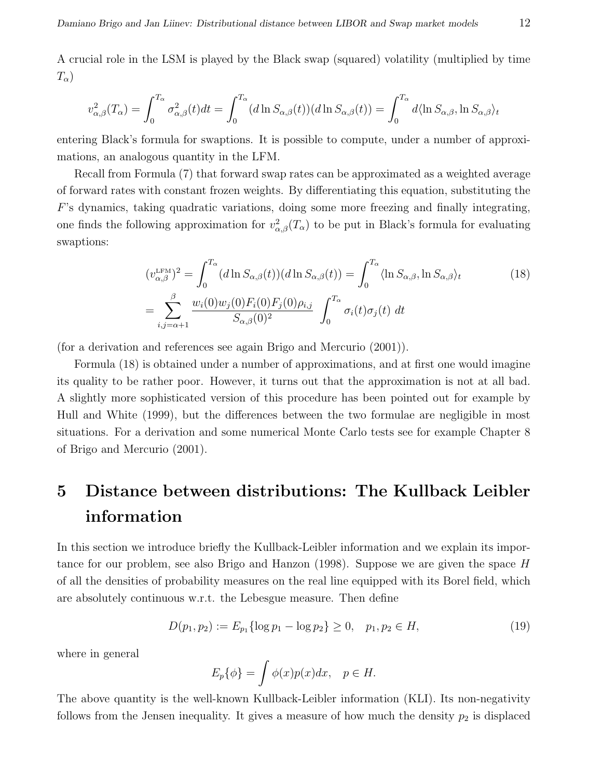A crucial role in the LSM is played by the Black swap (squared) volatility (multiplied by time  $T_{\alpha}$ )

$$
v_{\alpha,\beta}^2(T_\alpha) = \int_0^{T_\alpha} \sigma_{\alpha,\beta}^2(t)dt = \int_0^{T_\alpha} (d\ln S_{\alpha,\beta}(t))(d\ln S_{\alpha,\beta}(t)) = \int_0^{T_\alpha} d\langle \ln S_{\alpha,\beta}, \ln S_{\alpha,\beta} \rangle_t
$$

entering Black's formula for swaptions. It is possible to compute, under a number of approximations, an analogous quantity in the LFM.

Recall from Formula (7) that forward swap rates can be approximated as a weighted average of forward rates with constant frozen weights. By differentiating this equation, substituting the F's dynamics, taking quadratic variations, doing some more freezing and finally integrating, one finds the following approximation for  $v_{\alpha,\beta}^2(T_\alpha)$  to be put in Black's formula for evaluating swaptions:

$$
(v_{\alpha,\beta}^{\text{LFM}})^2 = \int_0^{T_\alpha} (d\ln S_{\alpha,\beta}(t))(d\ln S_{\alpha,\beta}(t)) = \int_0^{T_\alpha} \langle \ln S_{\alpha,\beta}, \ln S_{\alpha,\beta} \rangle_t
$$
\n
$$
= \sum_{i,j=\alpha+1}^\beta \frac{w_i(0)w_j(0)F_i(0)F_j(0)\rho_{i,j}}{S_{\alpha,\beta}(0)^2} \int_0^{T_\alpha} \sigma_i(t)\sigma_j(t) dt
$$
\n(18)

(for a derivation and references see again Brigo and Mercurio (2001)).

Formula (18) is obtained under a number of approximations, and at first one would imagine its quality to be rather poor. However, it turns out that the approximation is not at all bad. A slightly more sophisticated version of this procedure has been pointed out for example by Hull and White (1999), but the differences between the two formulae are negligible in most situations. For a derivation and some numerical Monte Carlo tests see for example Chapter 8 of Brigo and Mercurio (2001).

## 5 Distance between distributions: The Kullback Leibler information

In this section we introduce briefly the Kullback-Leibler information and we explain its importance for our problem, see also Brigo and Hanzon (1998). Suppose we are given the space H of all the densities of probability measures on the real line equipped with its Borel field, which are absolutely continuous w.r.t. the Lebesgue measure. Then define

$$
D(p_1, p_2) := E_{p_1} \{ \log p_1 - \log p_2 \} \ge 0, \quad p_1, p_2 \in H,
$$
\n<sup>(19)</sup>

where in general

$$
E_p\{\phi\} = \int \phi(x)p(x)dx, \quad p \in H.
$$

The above quantity is the well-known Kullback-Leibler information (KLI). Its non-negativity follows from the Jensen inequality. It gives a measure of how much the density  $p_2$  is displaced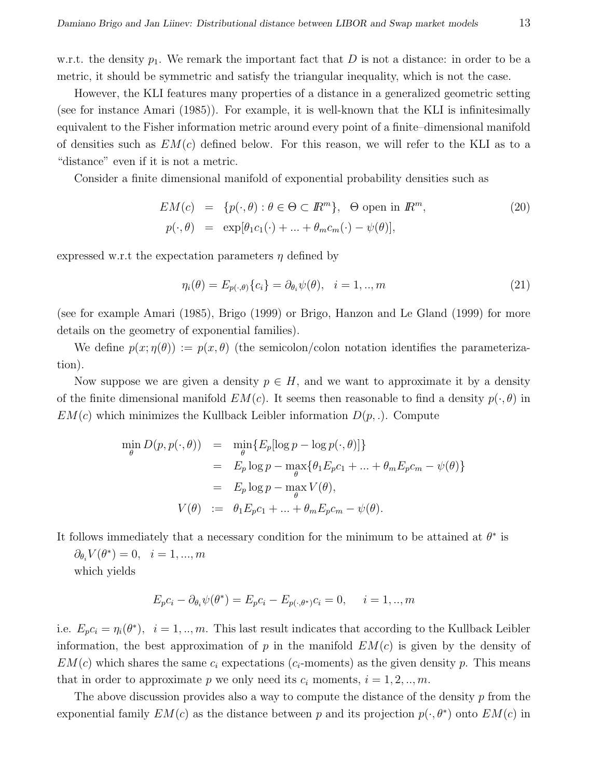w.r.t. the density  $p_1$ . We remark the important fact that D is not a distance: in order to be a metric, it should be symmetric and satisfy the triangular inequality, which is not the case.

However, the KLI features many properties of a distance in a generalized geometric setting (see for instance Amari (1985)). For example, it is well-known that the KLI is infinitesimally equivalent to the Fisher information metric around every point of a finite–dimensional manifold of densities such as  $EM(c)$  defined below. For this reason, we will refer to the KLI as to a "distance" even if it is not a metric.

Consider a finite dimensional manifold of exponential probability densities such as

$$
EM(c) = \{p(\cdot, \theta) : \theta \in \Theta \subset \mathbb{R}^m\}, \Theta \text{ open in } \mathbb{R}^m,
$$
  
\n
$$
p(\cdot, \theta) = \exp[\theta_1 c_1(\cdot) + \dots + \theta_m c_m(\cdot) - \psi(\theta)],
$$
\n(20)

expressed w.r.t the expectation parameters  $\eta$  defined by

$$
\eta_i(\theta) = E_{p(\cdot,\theta)}\{c_i\} = \partial_{\theta_i}\psi(\theta), \quad i = 1,..,m
$$
\n(21)

(see for example Amari (1985), Brigo (1999) or Brigo, Hanzon and Le Gland (1999) for more details on the geometry of exponential families).

We define  $p(x; \eta(\theta)) := p(x, \theta)$  (the semicolon/colon notation identifies the parameterization).

Now suppose we are given a density  $p \in H$ , and we want to approximate it by a density of the finite dimensional manifold  $EM(c)$ . It seems then reasonable to find a density  $p(\cdot, \theta)$  in  $EM(c)$  which minimizes the Kullback Leibler information  $D(p,.)$ . Compute

$$
\min_{\theta} D(p, p(\cdot, \theta)) = \min_{\theta} \{ E_p [\log p - \log p(\cdot, \theta)] \}
$$
  
\n
$$
= E_p \log p - \max_{\theta} \{ \theta_1 E_p c_1 + \dots + \theta_m E_p c_m - \psi(\theta) \}
$$
  
\n
$$
= E_p \log p - \max_{\theta} V(\theta),
$$
  
\n
$$
V(\theta) := \theta_1 E_p c_1 + \dots + \theta_m E_p c_m - \psi(\theta).
$$

It follows immediately that a necessary condition for the minimum to be attained at  $\theta^*$  is  $\partial_{\theta_i} V(\theta^*) = 0, \quad i = 1, ..., m$ which yields

$$
E_p c_i - \partial_{\theta_i} \psi(\theta^*) = E_p c_i - E_{p(\cdot, \theta^*)} c_i = 0, \quad i = 1,..,m
$$

i.e.  $E_p c_i = \eta_i(\theta^*), i = 1, ..., m$ . This last result indicates that according to the Kullback Leibler information, the best approximation of p in the manifold  $EM(c)$  is given by the density of  $EM(c)$  which shares the same  $c_i$  expectations ( $c_i$ -moments) as the given density p. This means that in order to approximate p we only need its  $c_i$  moments,  $i = 1, 2, ..., m$ .

The above discussion provides also a way to compute the distance of the density  $p$  from the exponential family  $EM(c)$  as the distance between p and its projection  $p(\cdot, \theta^*)$  onto  $EM(c)$  in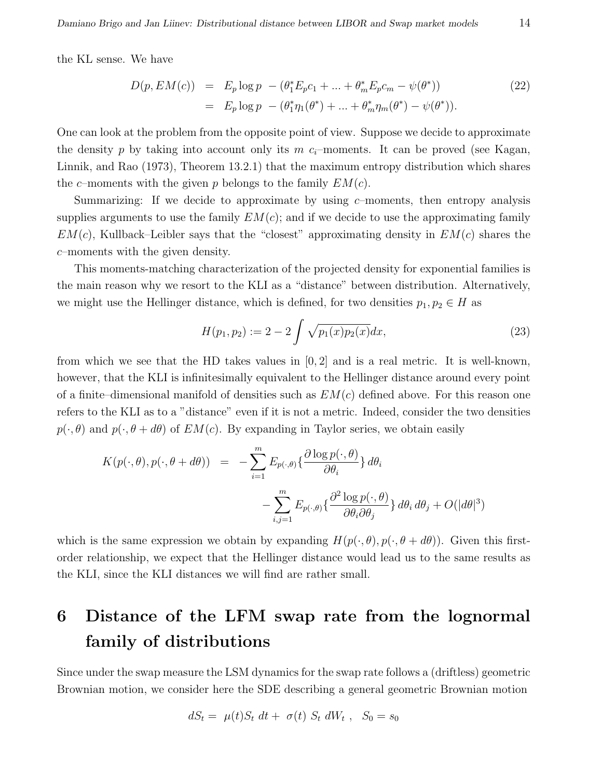the KL sense. We have

$$
D(p, EM(c)) = E_p \log p - (\theta_1^* E_p c_1 + ... + \theta_m^* E_p c_m - \psi(\theta^*))
$$
  
=  $E_p \log p - (\theta_1^* \eta_1(\theta^*) + ... + \theta_m^* \eta_m(\theta^*) - \psi(\theta^*)).$  (22)

One can look at the problem from the opposite point of view. Suppose we decide to approximate the density p by taking into account only its m  $c_i$ –moments. It can be proved (see Kagan, Linnik, and Rao (1973), Theorem 13.2.1) that the maximum entropy distribution which shares the c–moments with the given p belongs to the family  $EM(c)$ .

Summarizing: If we decide to approximate by using  $c$ -moments, then entropy analysis supplies arguments to use the family  $EM(c)$ ; and if we decide to use the approximating family  $EM(c)$ , Kullback–Leibler says that the "closest" approximating density in  $EM(c)$  shares the c–moments with the given density.

This moments-matching characterization of the projected density for exponential families is the main reason why we resort to the KLI as a "distance" between distribution. Alternatively, we might use the Hellinger distance, which is defined, for two densities  $p_1, p_2 \in H$  as

$$
H(p_1, p_2) := 2 - 2 \int \sqrt{p_1(x)p_2(x)} dx,
$$
\n(23)

from which we see that the HD takes values in [0, 2] and is a real metric. It is well-known, however, that the KLI is infinitesimally equivalent to the Hellinger distance around every point of a finite–dimensional manifold of densities such as  $EM(c)$  defined above. For this reason one refers to the KLI as to a "distance" even if it is not a metric. Indeed, consider the two densities  $p(\cdot,\theta)$  and  $p(\cdot,\theta+d\theta)$  of  $EM(c)$ . By expanding in Taylor series, we obtain easily

$$
K(p(\cdot,\theta),p(\cdot,\theta+d\theta)) = -\sum_{i=1}^{m} E_{p(\cdot,\theta)}\left\{\frac{\partial \log p(\cdot,\theta)}{\partial \theta_i}\right\} d\theta_i
$$

$$
-\sum_{i,j=1}^{m} E_{p(\cdot,\theta)}\left\{\frac{\partial^2 \log p(\cdot,\theta)}{\partial \theta_i \partial \theta_j}\right\} d\theta_i d\theta_j + O(|d\theta|^3)
$$

which is the same expression we obtain by expanding  $H(p(\cdot,\theta), p(\cdot,\theta + d\theta))$ . Given this firstorder relationship, we expect that the Hellinger distance would lead us to the same results as the KLI, since the KLI distances we will find are rather small.

## 6 Distance of the LFM swap rate from the lognormal family of distributions

Since under the swap measure the LSM dynamics for the swap rate follows a (driftless) geometric Brownian motion, we consider here the SDE describing a general geometric Brownian motion

$$
dS_t = \mu(t)S_t dt + \sigma(t) S_t dW_t , S_0 = s_0
$$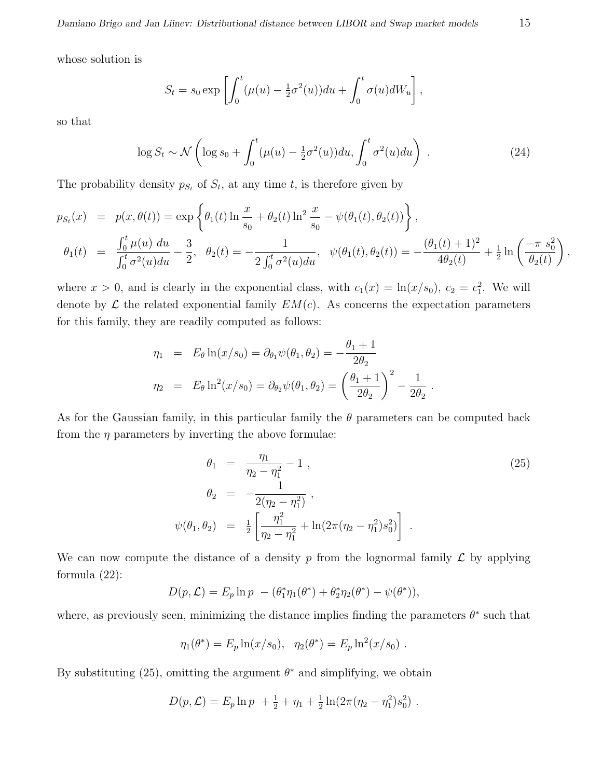whose solution is

$$
S_t = s_0 \exp \left[ \int_0^t (\mu(u) - \frac{1}{2}\sigma^2(u))du + \int_0^t \sigma(u)dW_u \right],
$$

so that

$$
\log S_t \sim \mathcal{N}\left(\log s_0 + \int_0^t (\mu(u) - \frac{1}{2}\sigma^2(u))du, \int_0^t \sigma^2(u)du\right) \tag{24}
$$

The probability density  $p_{S_t}$  of  $S_t$ , at any time t, is therefore given by

$$
p_{S_t}(x) = p(x, \theta(t)) = \exp\left\{\theta_1(t) \ln \frac{x}{s_0} + \theta_2(t) \ln^2 \frac{x}{s_0} - \psi(\theta_1(t), \theta_2(t))\right\},
$$
  

$$
\theta_1(t) = \frac{\int_0^t \mu(u) du}{\int_0^t \sigma^2(u) du} - \frac{3}{2}, \quad \theta_2(t) = -\frac{1}{2\int_0^t \sigma^2(u) du}, \quad \psi(\theta_1(t), \theta_2(t)) = -\frac{(\theta_1(t) + 1)^2}{4\theta_2(t)} + \frac{1}{2} \ln\left(\frac{-\pi s_0^2}{\theta_2(t)}\right),
$$

where  $x > 0$ , and is clearly in the exponential class, with  $c_1(x) = \ln(x/s_0)$ ,  $c_2 = c_1^2$ . We will denote by  $\mathcal L$  the related exponential family  $EM(c)$ . As concerns the expectation parameters for this family, they are readily computed as follows:

$$
\eta_1 = E_{\theta} \ln(x/s_0) = \partial_{\theta_1} \psi(\theta_1, \theta_2) = -\frac{\theta_1 + 1}{2\theta_2} \n\eta_2 = E_{\theta} \ln^2(x/s_0) = \partial_{\theta_2} \psi(\theta_1, \theta_2) = \left(\frac{\theta_1 + 1}{2\theta_2}\right)^2 - \frac{1}{2\theta_2}
$$

As for the Gaussian family, in this particular family the  $\theta$  parameters can be computed back from the  $\eta$  parameters by inverting the above formulae:

$$
\theta_1 = \frac{\eta_1}{\eta_2 - \eta_1^2} - 1, \qquad (25)
$$
\n
$$
\theta_2 = -\frac{1}{2(\eta_2 - \eta_1^2)},
$$
\n
$$
\psi(\theta_1, \theta_2) = \frac{1}{2} \left[ \frac{\eta_1^2}{\eta_2 - \eta_1^2} + \ln(2\pi(\eta_2 - \eta_1^2)s_0^2) \right].
$$

.

We can now compute the distance of a density p from the lognormal family  $\mathcal L$  by applying formula (22):

$$
D(p, \mathcal{L}) = E_p \ln p - (\theta_1^* \eta_1(\theta^*) + \theta_2^* \eta_2(\theta^*) - \psi(\theta^*)),
$$

where, as previously seen, minimizing the distance implies finding the parameters  $\theta^*$  such that

$$
\eta_1(\theta^*) = E_p \ln(x/s_0), \quad \eta_2(\theta^*) = E_p \ln^2(x/s_0) .
$$

By substituting (25), omitting the argument  $\theta^*$  and simplifying, we obtain

$$
D(p, \mathcal{L}) = E_p \ln p + \frac{1}{2} + \eta_1 + \frac{1}{2} \ln(2\pi(\eta_2 - \eta_1^2) s_0^2).
$$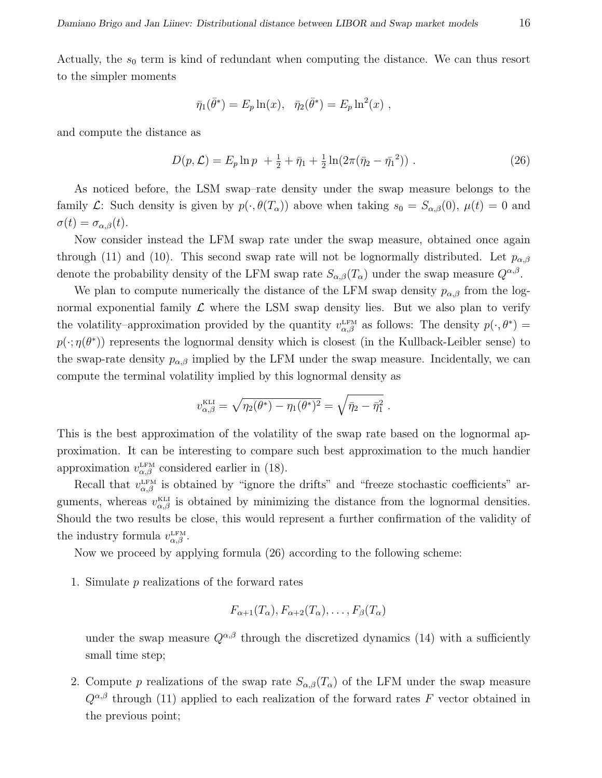$$
\bar{\eta}_1(\bar{\theta}^*) = E_p \ln(x), \quad \bar{\eta}_2(\bar{\theta}^*) = E_p \ln^2(x) ,
$$

and compute the distance as

$$
D(p, \mathcal{L}) = E_p \ln p + \frac{1}{2} + \bar{\eta}_1 + \frac{1}{2} \ln(2\pi(\bar{\eta}_2 - \bar{\eta}_1^2)) \,. \tag{26}
$$

As noticed before, the LSM swap–rate density under the swap measure belongs to the family L: Such density is given by  $p(\cdot, \theta(T_\alpha))$  above when taking  $s_0 = S_{\alpha,\beta}(0)$ ,  $\mu(t) = 0$  and  $\sigma(t) = \sigma_{\alpha,\beta}(t).$ 

Now consider instead the LFM swap rate under the swap measure, obtained once again through (11) and (10). This second swap rate will not be lognormally distributed. Let  $p_{\alpha,\beta}$ denote the probability density of the LFM swap rate  $S_{\alpha,\beta}(T_\alpha)$  under the swap measure  $Q^{\alpha,\beta}$ .

We plan to compute numerically the distance of the LFM swap density  $p_{\alpha,\beta}$  from the lognormal exponential family  $\mathcal L$  where the LSM swap density lies. But we also plan to verify the volatility–approximation provided by the quantity  $v_{\alpha,\beta}^{\text{LFM}}$  as follows: The density  $p(\cdot,\theta^*)$  =  $p(\cdot; \eta(\theta^*))$  represents the lognormal density which is closest (in the Kullback-Leibler sense) to the swap-rate density  $p_{\alpha,\beta}$  implied by the LFM under the swap measure. Incidentally, we can compute the terminal volatility implied by this lognormal density as

$$
v_{\alpha,\beta}^{\text{KLI}} = \sqrt{\eta_2(\theta^*) - \eta_1(\theta^*)^2} = \sqrt{\bar{\eta}_2 - \bar{\eta}_1^2} \; .
$$

This is the best approximation of the volatility of the swap rate based on the lognormal approximation. It can be interesting to compare such best approximation to the much handier approximation  $v_{\alpha,\beta}^{\text{LFM}}$  considered earlier in (18).

Recall that  $v_{\alpha,\beta}^{\text{LFM}}$  is obtained by "ignore the drifts" and "freeze stochastic coefficients" arguments, whereas  $v_{\alpha,\beta}^{\text{KLI}}$  is obtained by minimizing the distance from the lognormal densities. Should the two results be close, this would represent a further confirmation of the validity of the industry formula  $v_{\alpha,\beta}^{\text{LFM}}$ .

Now we proceed by applying formula (26) according to the following scheme:

1. Simulate p realizations of the forward rates

$$
F_{\alpha+1}(T_{\alpha}), F_{\alpha+2}(T_{\alpha}), \ldots, F_{\beta}(T_{\alpha})
$$

under the swap measure  $Q^{\alpha,\beta}$  through the discretized dynamics (14) with a sufficiently small time step;

2. Compute p realizations of the swap rate  $S_{\alpha,\beta}(T_{\alpha})$  of the LFM under the swap measure  $Q^{\alpha,\beta}$  through (11) applied to each realization of the forward rates F vector obtained in the previous point;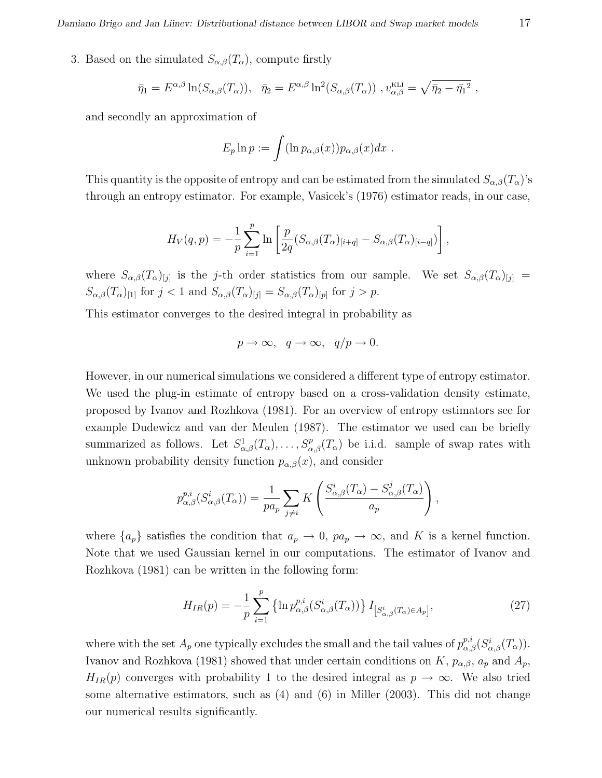3. Based on the simulated  $S_{\alpha,\beta}(T_{\alpha})$ , compute firstly

$$
\bar{\eta}_1 = E^{\alpha,\beta} \ln(S_{\alpha,\beta}(T_\alpha)), \quad \bar{\eta}_2 = E^{\alpha,\beta} \ln^2(S_{\alpha,\beta}(T_\alpha)) \;, \; v_{\alpha,\beta}^{\text{KLI}} = \sqrt{\bar{\eta}_2 - \bar{\eta}_1^2} \;,
$$

and secondly an approximation of

$$
E_p \ln p := \int (\ln p_{\alpha,\beta}(x)) p_{\alpha,\beta}(x) dx .
$$

This quantity is the opposite of entropy and can be estimated from the simulated  $S_{\alpha,\beta}(T_{\alpha})$ 's through an entropy estimator. For example, Vasicek's (1976) estimator reads, in our case,

$$
H_V(q,p) = -\frac{1}{p} \sum_{i=1}^p \ln \left[ \frac{p}{2q} (S_{\alpha,\beta}(T_\alpha)_{[i+q]} - S_{\alpha,\beta}(T_\alpha)_{[i-q]}) \right],
$$

where  $S_{\alpha,\beta}(T_{\alpha})_{[j]}$  is the j-th order statistics from our sample. We set  $S_{\alpha,\beta}(T_{\alpha})_{[j]} =$  $S_{\alpha,\beta}(T_\alpha)_{[1]}$  for  $j < 1$  and  $S_{\alpha,\beta}(T_\alpha)_{[j]} = S_{\alpha,\beta}(T_\alpha)_{[p]}$  for  $j > p$ .

This estimator converges to the desired integral in probability as

$$
p \to \infty
$$
,  $q \to \infty$ ,  $q/p \to 0$ .

However, in our numerical simulations we considered a different type of entropy estimator. We used the plug-in estimate of entropy based on a cross-validation density estimate, proposed by Ivanov and Rozhkova (1981). For an overview of entropy estimators see for example Dudewicz and van der Meulen (1987). The estimator we used can be briefly summarized as follows. Let  $S^1_{\alpha,\beta}(T_\alpha),\ldots,S^p_{\alpha,\beta}(T_\alpha)$  be i.i.d. sample of swap rates with unknown probability density function  $p_{\alpha,\beta}(x)$ , and consider

$$
p_{\alpha,\beta}^{p,i}(S_{\alpha,\beta}^{i}(T_{\alpha})) = \frac{1}{pa_p} \sum_{j \neq i} K\left(\frac{S_{\alpha,\beta}^{i}(T_{\alpha}) - S_{\alpha,\beta}^{j}(T_{\alpha})}{a_p}\right),
$$

where  $\{a_p\}$  satisfies the condition that  $a_p \to 0$ ,  $pa_p \to \infty$ , and K is a kernel function. Note that we used Gaussian kernel in our computations. The estimator of Ivanov and Rozhkova (1981) can be written in the following form:

$$
H_{IR}(p) = -\frac{1}{p} \sum_{i=1}^{p} \left\{ \ln p_{\alpha,\beta}^{p,i}(S_{\alpha,\beta}^{i}(T_{\alpha})) \right\} I_{\left[S_{\alpha,\beta}^{i}(T_{\alpha}) \in A_{p}\right]},
$$
\n(27)

where with the set  $A_p$  one typically excludes the small and the tail values of  $p_{\alpha,\beta}^{p,i}(S_{\alpha,\beta}(T_{\alpha}))$ . Ivanov and Rozhkova (1981) showed that under certain conditions on K,  $p_{\alpha,\beta}$ ,  $a_p$  and  $A_p$ ,  $H_{IR}(p)$  converges with probability 1 to the desired integral as  $p \to \infty$ . We also tried some alternative estimators, such as (4) and (6) in Miller (2003). This did not change our numerical results significantly.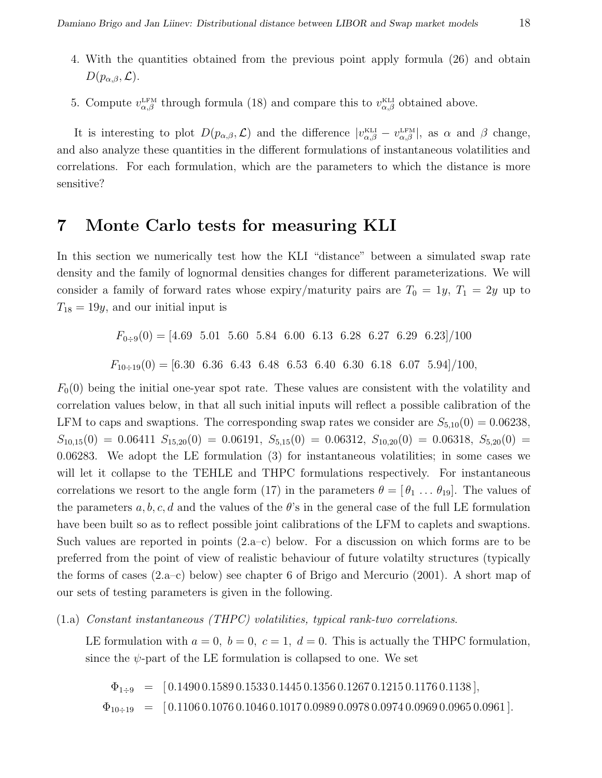- 4. With the quantities obtained from the previous point apply formula (26) and obtain  $D(p_{\alpha,\beta}, \mathcal{L}).$
- 5. Compute  $v_{\alpha,\beta}^{\text{LFM}}$  through formula (18) and compare this to  $v_{\alpha,\beta}^{\text{KL}}$  obtained above.

It is interesting to plot  $D(p_{\alpha,\beta}, \mathcal{L})$  and the difference  $|v_{\alpha,\beta}^{\text{KLI}} - v_{\alpha,\beta}^{\text{LFM}}|$ , as  $\alpha$  and  $\beta$  change, and also analyze these quantities in the different formulations of instantaneous volatilities and correlations. For each formulation, which are the parameters to which the distance is more sensitive?

### 7 Monte Carlo tests for measuring KLI

In this section we numerically test how the KLI "distance" between a simulated swap rate density and the family of lognormal densities changes for different parameterizations. We will consider a family of forward rates whose expiry/maturity pairs are  $T_0 = 1y$ ,  $T_1 = 2y$  up to  $T_{18} = 19y$ , and our initial input is

> $F_{0 \div 9}(0) = [4.69 \quad 5.01 \quad 5.60 \quad 5.84 \quad 6.00 \quad 6.13 \quad 6.28 \quad 6.27 \quad 6.29 \quad 6.23]/100$  $F_{10 \div 19}(0) = [6.30 \ 6.36 \ 6.43 \ 6.48 \ 6.53 \ 6.40 \ 6.30 \ 6.18 \ 6.07 \ 5.94]/100,$

 $F<sub>0</sub>(0)$  being the initial one-year spot rate. These values are consistent with the volatility and correlation values below, in that all such initial inputs will reflect a possible calibration of the LFM to caps and swaptions. The corresponding swap rates we consider are  $S_{5,10}(0) = 0.06238$ ,  $S_{10,15}(0) = 0.06411 S_{15,20}(0) = 0.06191, S_{5,15}(0) = 0.06312, S_{10,20}(0) = 0.06318, S_{5,20}(0) =$ 0.06283. We adopt the LE formulation (3) for instantaneous volatilities; in some cases we will let it collapse to the TEHLE and THPC formulations respectively. For instantaneous correlations we resort to the angle form (17) in the parameters  $\theta = [\theta_1 \dots \theta_{19}]$ . The values of the parameters  $a, b, c, d$  and the values of the  $\theta$ 's in the general case of the full LE formulation have been built so as to reflect possible joint calibrations of the LFM to caplets and swaptions. Such values are reported in points  $(2.a-c)$  below. For a discussion on which forms are to be preferred from the point of view of realistic behaviour of future volatilty structures (typically the forms of cases (2.a–c) below) see chapter 6 of Brigo and Mercurio (2001). A short map of our sets of testing parameters is given in the following.

(1.a) Constant instantaneous (THPC) volatilities, typical rank-two correlations.

LE formulation with  $a = 0$ ,  $b = 0$ ,  $c = 1$ ,  $d = 0$ . This is actually the THPC formulation, since the  $\psi$ -part of the LE formulation is collapsed to one. We set

 $\Phi_{1\div 9} = [0.14900.15890.15330.14450.13560.12670.12150.11760.1138],$  $\Phi_{10\div 19} \;\; = \;\; \left[\,0.1106\, 0.1076\, 0.1046\, 0.1017\, 0.0989\, 0.0978\, 0.0974\, 0.0969\, 0.0965\, 0.0961\, \right] \label{eq:Phi10} .$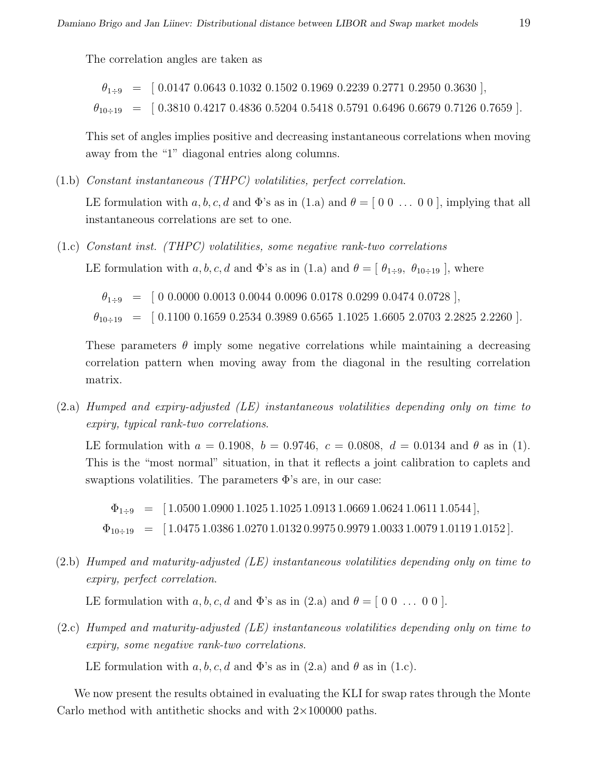The correlation angles are taken as

 $\theta_{1 \div 9} \;\; = \;\; [\; 0.0147 \; 0.0643 \; 0.1032 \; 0.1502 \; 0.1969 \; 0.2239 \; 0.2771 \; 0.2950 \; 0.3630 \; ] ,$  $\theta_{10 \div 19}$  =  $\begin{bmatrix} 0.3810 & 0.4217 & 0.4836 & 0.5204 & 0.5418 & 0.5791 & 0.6496 & 0.6679 & 0.7126 & 0.7659 \end{bmatrix}$ .

This set of angles implies positive and decreasing instantaneous correlations when moving away from the "1" diagonal entries along columns.

(1.b) Constant instantaneous (THPC) volatilities, perfect correlation.

LE formulation with a, b, c, d and  $\Phi$ 's as in (1.a) and  $\theta = [0 \ 0 \ \dots \ 0 \ 0]$ , implying that all instantaneous correlations are set to one.

(1.c) Constant inst. (THPC) volatilities, some negative rank-two correlations

LE formulation with a, b, c, d and  $\Phi$ 's as in (1.a) and  $\theta = [\theta_{1 \div 9}, \theta_{10 \div 19}]$ , where

 $\theta_{1 \div 9}$  = [ 0 0.0000 0.0013 0.0044 0.0096 0.0178 0.0299 0.0474 0.0728 ],  $\theta_{10 \div 19}$  =  $[0.1100 0.1659 0.2534 0.3989 0.6565 1.1025 1.6605 2.0703 2.2825 2.2260 ].$ 

These parameters  $\theta$  imply some negative correlations while maintaining a decreasing correlation pattern when moving away from the diagonal in the resulting correlation matrix.

(2.a) Humped and expiry-adjusted (LE) instantaneous volatilities depending only on time to expiry, typical rank-two correlations.

LE formulation with  $a = 0.1908$ ,  $b = 0.9746$ ,  $c = 0.0808$ ,  $d = 0.0134$  and  $\theta$  as in (1). This is the "most normal" situation, in that it reflects a joint calibration to caplets and swaptions volatilities. The parameters  $\Phi$ 's are, in our case:

 $\Phi_{1\div 9} \;\; = \;\; \left[\, 1.0500 \, 1.0900 \, 1.1025 \, 1.1025 \, 1.0913 \, 1.0669 \, 1.0624 \, 1.0611 \, 1.0544 \, \right]$  $\Phi_{10 \div 19} = [1.04751.03861.02701.01320.99750.99791.00331.00791.01191.0152].$ 

(2.b) Humped and maturity-adjusted (LE) instantaneous volatilities depending only on time to expiry, perfect correlation.

LE formulation with  $a, b, c, d$  and  $\Phi$ 's as in (2.a) and  $\theta = [0 \ 0 \ \dots \ 0 \ 0]$ .

(2.c) Humped and maturity-adjusted (LE) instantaneous volatilities depending only on time to expiry, some negative rank-two correlations.

LE formulation with  $a, b, c, d$  and  $\Phi$ 's as in (2.a) and  $\theta$  as in (1.c).

We now present the results obtained in evaluating the KLI for swap rates through the Monte Carlo method with antithetic shocks and with  $2\times100000$  paths.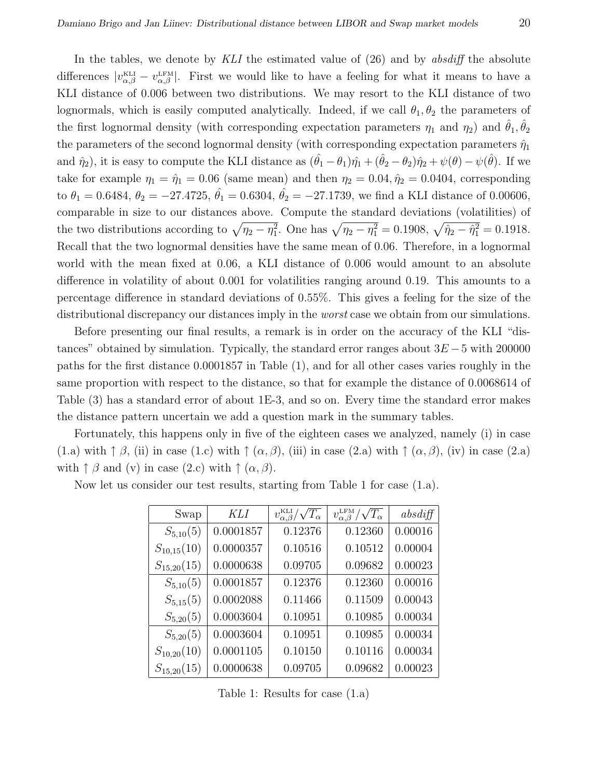In the tables, we denote by  $KLI$  the estimated value of  $(26)$  and by absolute differences  $|v_{\alpha,\beta}^{\text{KLI}} - v_{\alpha,\beta}^{\text{LFM}}|$ . First we would like to have a feeling for what it means to have a KLI distance of 0.006 between two distributions. We may resort to the KLI distance of two lognormals, which is easily computed analytically. Indeed, if we call  $\theta_1, \theta_2$  the parameters of the first lognormal density (with corresponding expectation parameters  $\eta_1$  and  $\eta_2$ ) and  $\hat{\theta}_1$ ,  $\hat{\theta}_2$ the parameters of the second lognormal density (with corresponding expectation parameters  $\hat{\eta}_1$ and  $\hat{\eta}_2$ ), it is easy to compute the KLI distance as  $(\hat{\theta}_1 - \theta_1)\hat{\eta}_1 + (\hat{\theta}_2 - \theta_2)\hat{\eta}_2 + \psi(\theta) - \psi(\hat{\theta})$ . If we take for example  $\eta_1 = \hat{\eta}_1 = 0.06$  (same mean) and then  $\eta_2 = 0.04$ ,  $\hat{\eta}_2 = 0.0404$ , corresponding to  $\theta_1 = 0.6484$ ,  $\theta_2 = -27.4725$ ,  $\hat{\theta_1} = 0.6304$ ,  $\hat{\theta_2} = -27.1739$ , we find a KLI distance of 0.00606, comparable in size to our distances above. Compute the standard deviations (volatilities) of the two distributions according to  $\sqrt{\eta_2 - \eta_1^2}$ . One has  $\sqrt{\eta_2 - \eta_1^2} = 0.1908$ ,  $\sqrt{\hat{\eta}_2 - \hat{\eta}_1^2} = 0.1918$ . Recall that the two lognormal densities have the same mean of 0.06. Therefore, in a lognormal world with the mean fixed at 0.06, a KLI distance of 0.006 would amount to an absolute difference in volatility of about 0.001 for volatilities ranging around 0.19. This amounts to a percentage difference in standard deviations of 0.55%. This gives a feeling for the size of the distributional discrepancy our distances imply in the *worst* case we obtain from our simulations.

Before presenting our final results, a remark is in order on the accuracy of the KLI "distances" obtained by simulation. Typically, the standard error ranges about  $3E - 5$  with 200000 paths for the first distance 0.0001857 in Table (1), and for all other cases varies roughly in the same proportion with respect to the distance, so that for example the distance of 0.0068614 of Table (3) has a standard error of about 1E-3, and so on. Every time the standard error makes the distance pattern uncertain we add a question mark in the summary tables.

Fortunately, this happens only in five of the eighteen cases we analyzed, namely (i) in case (1.a) with  $\uparrow \beta$ , (ii) in case (1.c) with  $\uparrow (\alpha, \beta)$ , (iii) in case (2.a) with  $\uparrow (\alpha, \beta)$ , (iv) in case (2.a) with  $\uparrow \beta$  and (v) in case (2.c) with  $\uparrow (\alpha, \beta)$ .

| Swap            | <b>KLI</b> | $v_{\alpha\beta}^{\text{KLI}}/\sqrt{T_{\alpha}}$ | $v_{\alpha,\beta}^{\text{LFM}}/\sqrt{T_{\alpha}}$ | absdiff |
|-----------------|------------|--------------------------------------------------|---------------------------------------------------|---------|
| $S_{5,10}(5)$   | 0.0001857  | 0.12376                                          | 0.12360                                           | 0.00016 |
| $S_{10,15}(10)$ | 0.0000357  | 0.10516                                          | 0.10512                                           | 0.00004 |
| $S_{15,20}(15)$ | 0.0000638  | 0.09705                                          | 0.09682                                           | 0.00023 |
| $S_{5,10}(5)$   | 0.0001857  | 0.12376                                          | 0.12360                                           | 0.00016 |
| $S_{5,15}(5)$   | 0.0002088  | 0.11466                                          | 0.11509                                           | 0.00043 |
| $S_{5,20}(5)$   | 0.0003604  | 0.10951                                          | 0.10985                                           | 0.00034 |
| $S_{5,20}(5)$   | 0.0003604  | 0.10951                                          | 0.10985                                           | 0.00034 |
| $S_{10,20}(10)$ | 0.0001105  | 0.10150                                          | 0.10116                                           | 0.00034 |
| $S_{15,20}(15)$ | 0.0000638  | 0.09705                                          | 0.09682                                           | 0.00023 |

Now let us consider our test results, starting from Table 1 for case (1.a).

Table 1: Results for case (1.a)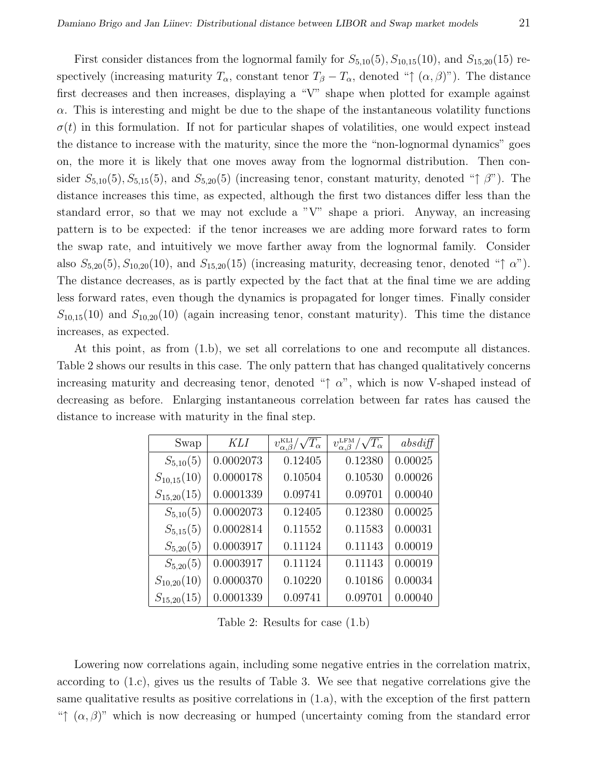First consider distances from the lognormal family for  $S_{5,10}(5)$ ,  $S_{10,15}(10)$ , and  $S_{15,20}(15)$  respectively (increasing maturity  $T_{\alpha}$ , constant tenor  $T_{\beta} - T_{\alpha}$ , denoted " $\uparrow (\alpha, \beta)$ "). The distance first decreases and then increases, displaying a "V" shape when plotted for example against  $\alpha$ . This is interesting and might be due to the shape of the instantaneous volatility functions  $\sigma(t)$  in this formulation. If not for particular shapes of volatilities, one would expect instead the distance to increase with the maturity, since the more the "non-lognormal dynamics" goes on, the more it is likely that one moves away from the lognormal distribution. Then consider  $S_{5,10}(5)$ ,  $S_{5,15}(5)$ , and  $S_{5,20}(5)$  (increasing tenor, constant maturity, denoted " $\uparrow \beta$ "). The distance increases this time, as expected, although the first two distances differ less than the standard error, so that we may not exclude a "V" shape a priori. Anyway, an increasing pattern is to be expected: if the tenor increases we are adding more forward rates to form the swap rate, and intuitively we move farther away from the lognormal family. Consider also  $S_{5,20}(5)$ ,  $S_{10,20}(10)$ , and  $S_{15,20}(15)$  (increasing maturity, decreasing tenor, denoted " $\uparrow \alpha$ "). The distance decreases, as is partly expected by the fact that at the final time we are adding less forward rates, even though the dynamics is propagated for longer times. Finally consider  $S_{10,15}(10)$  and  $S_{10,20}(10)$  (again increasing tenor, constant maturity). This time the distance increases, as expected.

At this point, as from (1.b), we set all correlations to one and recompute all distances. Table 2 shows our results in this case. The only pattern that has changed qualitatively concerns increasing maturity and decreasing tenor, denoted " $\uparrow \alpha$ ", which is now V-shaped instead of decreasing as before. Enlarging instantaneous correlation between far rates has caused the distance to increase with maturity in the final step.

| Swap            | <b>KLI</b> | $v_{\alpha,\beta}^{\text{KLI}}/\sqrt{T_{\alpha}}$ | $v_{\alpha,\beta}^{\text{LFM}}/\sqrt{T_{\alpha}}$ | absdiff |
|-----------------|------------|---------------------------------------------------|---------------------------------------------------|---------|
| $S_{5,10}(5)$   | 0.0002073  | 0.12405                                           | 0.12380                                           | 0.00025 |
| $S_{10,15}(10)$ | 0.0000178  | 0.10504                                           | 0.10530                                           | 0.00026 |
| $S_{15,20}(15)$ | 0.0001339  | 0.09741                                           | 0.09701                                           | 0.00040 |
| $S_{5,10}(5)$   | 0.0002073  | 0.12405                                           | 0.12380                                           | 0.00025 |
| $S_{5,15}(5)$   | 0.0002814  | 0.11552                                           | 0.11583                                           | 0.00031 |
| $S_{5,20}(5)$   | 0.0003917  | 0.11124                                           | 0.11143                                           | 0.00019 |
| $S_{5,20}(5)$   | 0.0003917  | 0.11124                                           | 0.11143                                           | 0.00019 |
| $S_{10,20}(10)$ | 0.0000370  | 0.10220                                           | 0.10186                                           | 0.00034 |
| $S_{15,20}(15)$ | 0.0001339  | 0.09741                                           | 0.09701                                           | 0.00040 |

Table 2: Results for case (1.b)

Lowering now correlations again, including some negative entries in the correlation matrix, according to (1.c), gives us the results of Table 3. We see that negative correlations give the same qualitative results as positive correlations in (1.a), with the exception of the first pattern  $(\alpha, \beta)$ " which is now decreasing or humped (uncertainty coming from the standard error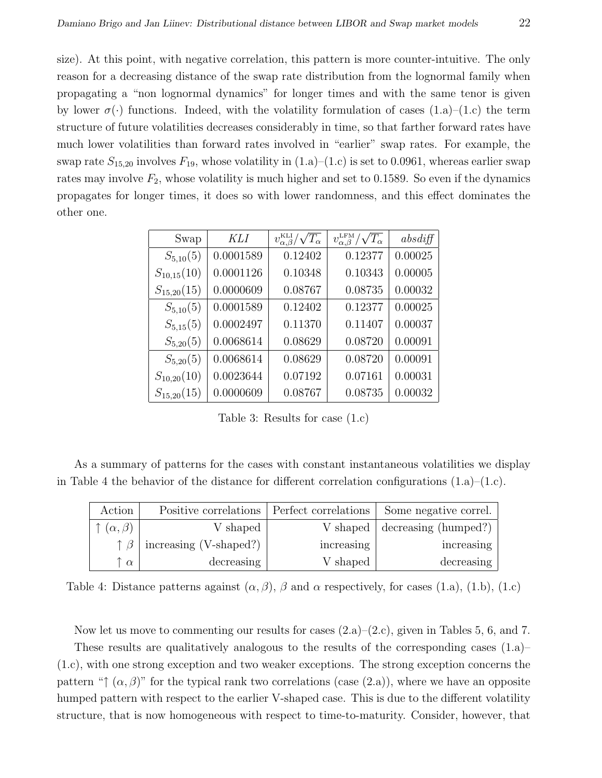size). At this point, with negative correlation, this pattern is more counter-intuitive. The only reason for a decreasing distance of the swap rate distribution from the lognormal family when propagating a "non lognormal dynamics" for longer times and with the same tenor is given by lower  $\sigma(\cdot)$  functions. Indeed, with the volatility formulation of cases  $(1.a)-(1.c)$  the term structure of future volatilities decreases considerably in time, so that farther forward rates have much lower volatilities than forward rates involved in "earlier" swap rates. For example, the swap rate  $S_{15,20}$  involves  $F_{19}$ , whose volatility in  $(1.a)-(1.c)$  is set to 0.0961, whereas earlier swap rates may involve  $F_2$ , whose volatility is much higher and set to 0.1589. So even if the dynamics propagates for longer times, it does so with lower randomness, and this effect dominates the other one.

| Swap            | <b>KLI</b> | $v_{\alpha,\beta}^{\text{KLI}}/\sqrt{T_{\alpha}}$ | $v_{\alpha,\beta}^{\text{LFM}}/\sqrt{T_{\alpha}}$ | absdiff |
|-----------------|------------|---------------------------------------------------|---------------------------------------------------|---------|
| $S_{5,10}(5)$   | 0.0001589  | 0.12402                                           | 0.12377                                           | 0.00025 |
| $S_{10,15}(10)$ | 0.0001126  | 0.10348                                           | 0.10343                                           | 0.00005 |
| $S_{15,20}(15)$ | 0.0000609  | 0.08767                                           | 0.08735                                           | 0.00032 |
| $S_{5,10}(5)$   | 0.0001589  | 0.12402                                           | 0.12377                                           | 0.00025 |
| $S_{5,15}(5)$   | 0.0002497  | 0.11370                                           | 0.11407                                           | 0.00037 |
| $S_{5,20}(5)$   | 0.0068614  | 0.08629                                           | 0.08720                                           | 0.00091 |
| $S_{5,20}(5)$   | 0.0068614  | 0.08629                                           | 0.08720                                           | 0.00091 |
| $S_{10,20}(10)$ | 0.0023644  | 0.07192                                           | 0.07161                                           | 0.00031 |
| $S_{15,20}(15)$ | 0.0000609  | 0.08767                                           | 0.08735                                           | 0.00032 |

Table 3: Results for case (1.c)

As a summary of patterns for the cases with constant instantaneous volatilities we display in Table 4 the behavior of the distance for different correlation configurations  $(1.a)-(1.c)$ .

| Action            | Positive correlations   Perfect correlations |            | Some negative correl.                 |
|-------------------|----------------------------------------------|------------|---------------------------------------|
| $(\alpha, \beta)$ | V shaped                                     |            | V shaped $\vert$ decreasing (humped?) |
| $\uparrow \beta$  | increasing $(V\text{-shaped?)}$              | increasing | increasing                            |
| $\alpha$          | decreasing                                   | V shaped   | decreasing                            |

Table 4: Distance patterns against  $(\alpha, \beta)$ ,  $\beta$  and  $\alpha$  respectively, for cases (1.a), (1.b), (1.c)

Now let us move to commenting our results for cases (2.a)–(2.c), given in Tables 5, 6, and 7.

These results are qualitatively analogous to the results of the corresponding cases (1.a)– (1.c), with one strong exception and two weaker exceptions. The strong exception concerns the pattern " $(\alpha, \beta)$ " for the typical rank two correlations (case (2.a)), where we have an opposite humped pattern with respect to the earlier V-shaped case. This is due to the different volatility structure, that is now homogeneous with respect to time-to-maturity. Consider, however, that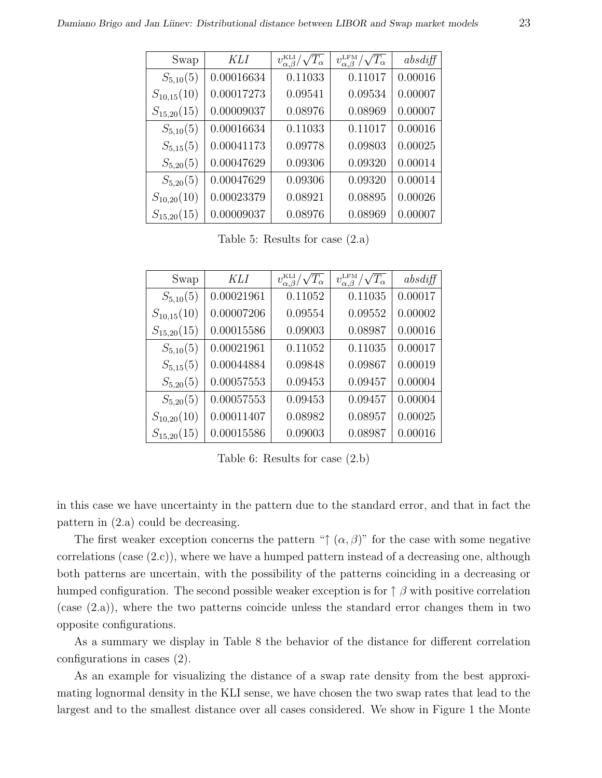| Swap            | <b>KLI</b> | $v_{\alpha,\beta}^{\text{KLI}}/\sqrt{T_{\alpha}}$ | $v_{\alpha\beta}^{\text{LFM}}/\sqrt{T_{\alpha}}$ | absdiff |
|-----------------|------------|---------------------------------------------------|--------------------------------------------------|---------|
| $S_{5,10}(5)$   | 0.00016634 | 0.11033                                           | 0.11017                                          | 0.00016 |
| $S_{10,15}(10)$ | 0.00017273 | 0.09541                                           | 0.09534                                          | 0.00007 |
| $S_{15,20}(15)$ | 0.00009037 | 0.08976                                           | 0.08969                                          | 0.00007 |
| $S_{5,10}(5)$   | 0.00016634 | 0.11033                                           | 0.11017                                          | 0.00016 |
| $S_{5,15}(5)$   | 0.00041173 | 0.09778                                           | 0.09803                                          | 0.00025 |
| $S_{5,20}(5)$   | 0.00047629 | 0.09306                                           | 0.09320                                          | 0.00014 |
| $S_{5,20}(5)$   | 0.00047629 | 0.09306                                           | 0.09320                                          | 0.00014 |
| $S_{10,20}(10)$ | 0.00023379 | 0.08921                                           | 0.08895                                          | 0.00026 |
| $S_{15,20}(15)$ | 0.00009037 | 0.08976                                           | 0.08969                                          | 0.00007 |

Table 5: Results for case (2.a)

| Swap            | KLI        | $v_{\alpha,\beta}^{\text{KLI}}/\sqrt{T_{\alpha}}$ | $v_{\alpha,\beta}^{\text{LFM}}/\sqrt{T_{\alpha}}$ | absdiff |
|-----------------|------------|---------------------------------------------------|---------------------------------------------------|---------|
| $S_{5,10}(5)$   | 0.00021961 | 0.11052                                           | 0.11035                                           | 0.00017 |
| $S_{10,15}(10)$ | 0.00007206 | 0.09554                                           | 0.09552                                           | 0.00002 |
| $S_{15,20}(15)$ | 0.00015586 | 0.09003                                           | 0.08987                                           | 0.00016 |
| $S_{5,10}(5)$   | 0.00021961 | 0.11052                                           | 0.11035                                           | 0.00017 |
| $S_{5,15}(5)$   | 0.00044884 | 0.09848                                           | 0.09867                                           | 0.00019 |
| $S_{5,20}(5)$   | 0.00057553 | 0.09453                                           | 0.09457                                           | 0.00004 |
| $S_{5,20}(5)$   | 0.00057553 | 0.09453                                           | 0.09457                                           | 0.00004 |
| $S_{10,20}(10)$ | 0.00011407 | 0.08982                                           | 0.08957                                           | 0.00025 |
| $S_{15,20}(15)$ | 0.00015586 | 0.09003                                           | 0.08987                                           | 0.00016 |

Table 6: Results for case (2.b)

in this case we have uncertainty in the pattern due to the standard error, and that in fact the pattern in (2.a) could be decreasing.

The first weaker exception concerns the pattern " $\uparrow (\alpha, \beta)$ " for the case with some negative correlations (case  $(2.c)$ ), where we have a humped pattern instead of a decreasing one, although both patterns are uncertain, with the possibility of the patterns coinciding in a decreasing or humped configuration. The second possible weaker exception is for  $\uparrow \beta$  with positive correlation (case (2.a)), where the two patterns coincide unless the standard error changes them in two opposite configurations.

As a summary we display in Table 8 the behavior of the distance for different correlation configurations in cases (2).

As an example for visualizing the distance of a swap rate density from the best approximating lognormal density in the KLI sense, we have chosen the two swap rates that lead to the largest and to the smallest distance over all cases considered. We show in Figure 1 the Monte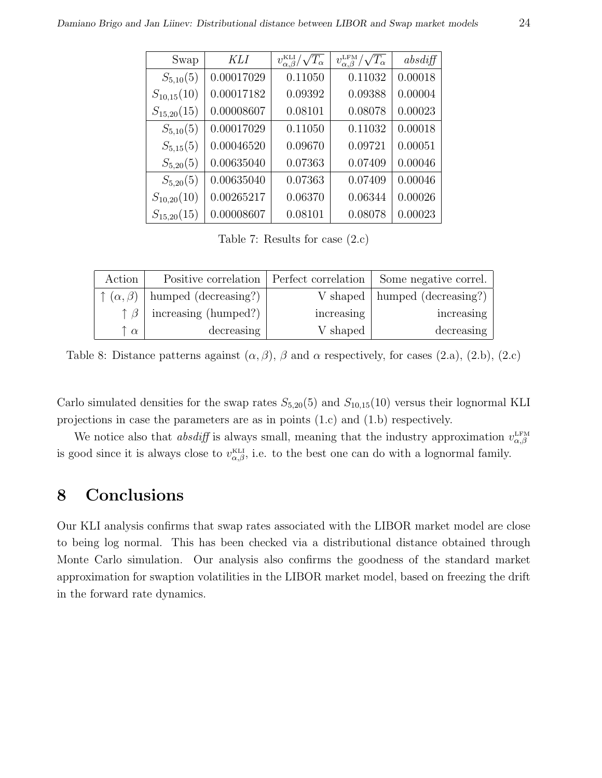| Swap            | <b>KLI</b> | $v_{\alpha,\beta}^{\text{KLI}}/\sqrt{T_{\alpha}}$ | $v_{\alpha,\beta}^{\text{LFM}}/\sqrt{T_{\alpha}}$ | absdiff |
|-----------------|------------|---------------------------------------------------|---------------------------------------------------|---------|
| $S_{5,10}(5)$   | 0.00017029 | 0.11050                                           | 0.11032                                           | 0.00018 |
| $S_{10,15}(10)$ | 0.00017182 | 0.09392                                           | 0.09388                                           | 0.00004 |
| $S_{15,20}(15)$ | 0.00008607 | 0.08101                                           | 0.08078                                           | 0.00023 |
| $S_{5,10}(5)$   | 0.00017029 | 0.11050                                           | 0.11032                                           | 0.00018 |
| $S_{5,15}(5)$   | 0.00046520 | 0.09670                                           | 0.09721                                           | 0.00051 |
| $S_{5,20}(5)$   | 0.00635040 | 0.07363                                           | 0.07409                                           | 0.00046 |
| $S_{5,20}(5)$   | 0.00635040 | 0.07363                                           | 0.07409                                           | 0.00046 |
| $S_{10,20}(10)$ | 0.00265217 | 0.06370                                           | 0.06344                                           | 0.00026 |
| $S_{15,20}(15)$ | 0.00008607 | 0.08101                                           | 0.08078                                           | 0.00023 |

Table 7: Results for case (2.c)

| Action                   |                      | Positive correlation   Perfect correlation | Some negative correl.                 |
|--------------------------|----------------------|--------------------------------------------|---------------------------------------|
| $\uparrow(\alpha,\beta)$ | humped (decreasing?) |                                            | V shaped $\vert$ humped (decreasing?) |
| $\uparrow \beta$         | increasing (humped?) | increasing                                 | increasing                            |
| $\mathsf{r}\ \alpha$     | decreasing           | V shaped                                   | decreasing                            |

Table 8: Distance patterns against  $(\alpha, \beta)$ ,  $\beta$  and  $\alpha$  respectively, for cases (2.a), (2.b), (2.c)

Carlo simulated densities for the swap rates  $S_{5,20}(5)$  and  $S_{10,15}(10)$  versus their lognormal KLI projections in case the parameters are as in points (1.c) and (1.b) respectively.

We notice also that *absdiff* is always small, meaning that the industry approximation  $v_{\alpha,\beta}^{\text{LFM}}$ is good since it is always close to  $v_{\alpha,\beta}^{\text{KL}}$ , i.e. to the best one can do with a lognormal family.

### 8 Conclusions

Our KLI analysis confirms that swap rates associated with the LIBOR market model are close to being log normal. This has been checked via a distributional distance obtained through Monte Carlo simulation. Our analysis also confirms the goodness of the standard market approximation for swaption volatilities in the LIBOR market model, based on freezing the drift in the forward rate dynamics.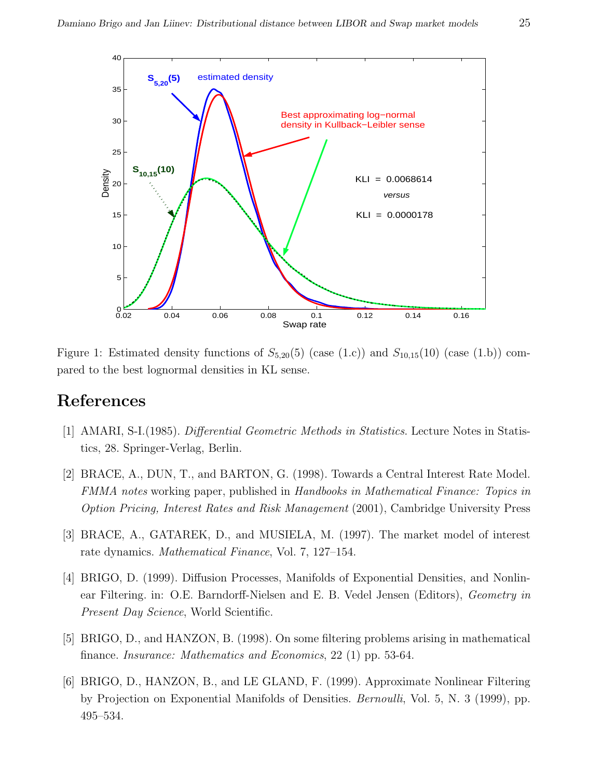

Figure 1: Estimated density functions of  $S_{5,20}(5)$  (case (1.c)) and  $S_{10,15}(10)$  (case (1.b)) compared to the best lognormal densities in KL sense.

## References

- [1] AMARI, S-I.(1985). Differential Geometric Methods in Statistics. Lecture Notes in Statistics, 28. Springer-Verlag, Berlin.
- [2] BRACE, A., DUN, T., and BARTON, G. (1998). Towards a Central Interest Rate Model. FMMA notes working paper, published in Handbooks in Mathematical Finance: Topics in Option Pricing, Interest Rates and Risk Management (2001), Cambridge University Press
- [3] BRACE, A., GATAREK, D., and MUSIELA, M. (1997). The market model of interest rate dynamics. Mathematical Finance, Vol. 7, 127–154.
- [4] BRIGO, D. (1999). Diffusion Processes, Manifolds of Exponential Densities, and Nonlinear Filtering. in: O.E. Barndorff-Nielsen and E. B. Vedel Jensen (Editors), Geometry in Present Day Science, World Scientific.
- [5] BRIGO, D., and HANZON, B. (1998). On some filtering problems arising in mathematical finance. *Insurance: Mathematics and Economics*, 22 (1) pp. 53-64.
- [6] BRIGO, D., HANZON, B., and LE GLAND, F. (1999). Approximate Nonlinear Filtering by Projection on Exponential Manifolds of Densities. Bernoulli, Vol. 5, N. 3 (1999), pp. 495–534.